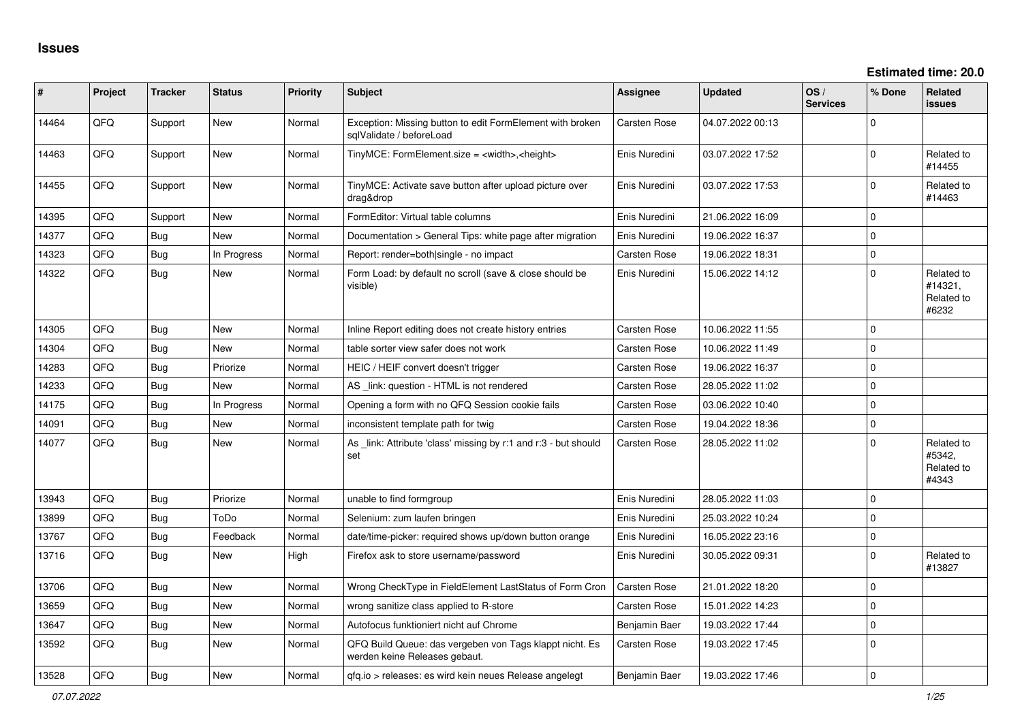| #     | Project | <b>Tracker</b> | <b>Status</b> | <b>Priority</b> | Subject                                                                                  | Assignee      | <b>Updated</b>   | OS/<br><b>Services</b> | % Done       | Related<br>issues                            |
|-------|---------|----------------|---------------|-----------------|------------------------------------------------------------------------------------------|---------------|------------------|------------------------|--------------|----------------------------------------------|
| 14464 | QFQ     | Support        | New           | Normal          | Exception: Missing button to edit FormElement with broken<br>sglValidate / beforeLoad    | Carsten Rose  | 04.07.2022 00:13 |                        | $\Omega$     |                                              |
| 14463 | QFQ     | Support        | New           | Normal          | TinyMCE: FormElement.size = <width>,<height></height></width>                            | Enis Nuredini | 03.07.2022 17:52 |                        | $\Omega$     | Related to<br>#14455                         |
| 14455 | QFQ     | Support        | New           | Normal          | TinyMCE: Activate save button after upload picture over<br>drag&drop                     | Enis Nuredini | 03.07.2022 17:53 |                        | $\Omega$     | Related to<br>#14463                         |
| 14395 | QFQ     | Support        | New           | Normal          | FormEditor: Virtual table columns                                                        | Enis Nuredini | 21.06.2022 16:09 |                        | $\mathbf 0$  |                                              |
| 14377 | QFQ     | Bug            | New           | Normal          | Documentation > General Tips: white page after migration                                 | Enis Nuredini | 19.06.2022 16:37 |                        | $\mathbf 0$  |                                              |
| 14323 | QFQ     | Bug            | In Progress   | Normal          | Report: render=both single - no impact                                                   | Carsten Rose  | 19.06.2022 18:31 |                        | $\mathbf{0}$ |                                              |
| 14322 | QFQ     | Bug            | New           | Normal          | Form Load: by default no scroll (save & close should be<br>visible)                      | Enis Nuredini | 15.06.2022 14:12 |                        | $\mathbf 0$  | Related to<br>#14321,<br>Related to<br>#6232 |
| 14305 | QFQ     | Bug            | <b>New</b>    | Normal          | Inline Report editing does not create history entries                                    | Carsten Rose  | 10.06.2022 11:55 |                        | $\Omega$     |                                              |
| 14304 | QFQ     | Bug            | New           | Normal          | table sorter view safer does not work                                                    | Carsten Rose  | 10.06.2022 11:49 |                        | $\mathbf{0}$ |                                              |
| 14283 | QFQ     | Bug            | Priorize      | Normal          | HEIC / HEIF convert doesn't trigger                                                      | Carsten Rose  | 19.06.2022 16:37 |                        | $\mathbf 0$  |                                              |
| 14233 | QFQ     | Bug            | New           | Normal          | AS link: question - HTML is not rendered                                                 | Carsten Rose  | 28.05.2022 11:02 |                        | $\mathbf 0$  |                                              |
| 14175 | QFQ     | Bug            | In Progress   | Normal          | Opening a form with no QFQ Session cookie fails                                          | Carsten Rose  | 03.06.2022 10:40 |                        | $\Omega$     |                                              |
| 14091 | QFQ     | Bug            | <b>New</b>    | Normal          | inconsistent template path for twig                                                      | Carsten Rose  | 19.04.2022 18:36 |                        | $\mathbf{0}$ |                                              |
| 14077 | QFQ     | Bug            | <b>New</b>    | Normal          | As link: Attribute 'class' missing by r:1 and r:3 - but should<br>set                    | Carsten Rose  | 28.05.2022 11:02 |                        | $\Omega$     | Related to<br>#5342,<br>Related to<br>#4343  |
| 13943 | QFQ     | Bug            | Priorize      | Normal          | unable to find formgroup                                                                 | Enis Nuredini | 28.05.2022 11:03 |                        | $\mathbf 0$  |                                              |
| 13899 | QFQ     | Bug            | ToDo          | Normal          | Selenium: zum laufen bringen                                                             | Enis Nuredini | 25.03.2022 10:24 |                        | $\mathbf{0}$ |                                              |
| 13767 | QFQ     | Bug            | Feedback      | Normal          | date/time-picker: required shows up/down button orange                                   | Enis Nuredini | 16.05.2022 23:16 |                        | $\mathbf 0$  |                                              |
| 13716 | QFQ     | Bug            | New           | High            | Firefox ask to store username/password                                                   | Enis Nuredini | 30.05.2022 09:31 |                        | $\mathbf 0$  | Related to<br>#13827                         |
| 13706 | QFQ     | Bug            | <b>New</b>    | Normal          | Wrong CheckType in FieldElement LastStatus of Form Cron                                  | Carsten Rose  | 21.01.2022 18:20 |                        | $\mathbf 0$  |                                              |
| 13659 | QFQ     | <b>Bug</b>     | New           | Normal          | wrong sanitize class applied to R-store                                                  | Carsten Rose  | 15.01.2022 14:23 |                        | $\mathbf{0}$ |                                              |
| 13647 | QFQ     | Bug            | New           | Normal          | Autofocus funktioniert nicht auf Chrome                                                  | Benjamin Baer | 19.03.2022 17:44 |                        | $\mathbf{0}$ |                                              |
| 13592 | QFQ     | Bug            | <b>New</b>    | Normal          | QFQ Build Queue: das vergeben von Tags klappt nicht. Es<br>werden keine Releases gebaut. | Carsten Rose  | 19.03.2022 17:45 |                        | $\mathbf 0$  |                                              |
| 13528 | QFQ     | Bug            | New           | Normal          | gfg.io > releases: es wird kein neues Release angelegt                                   | Benjamin Baer | 19.03.2022 17:46 |                        | $\mathbf 0$  |                                              |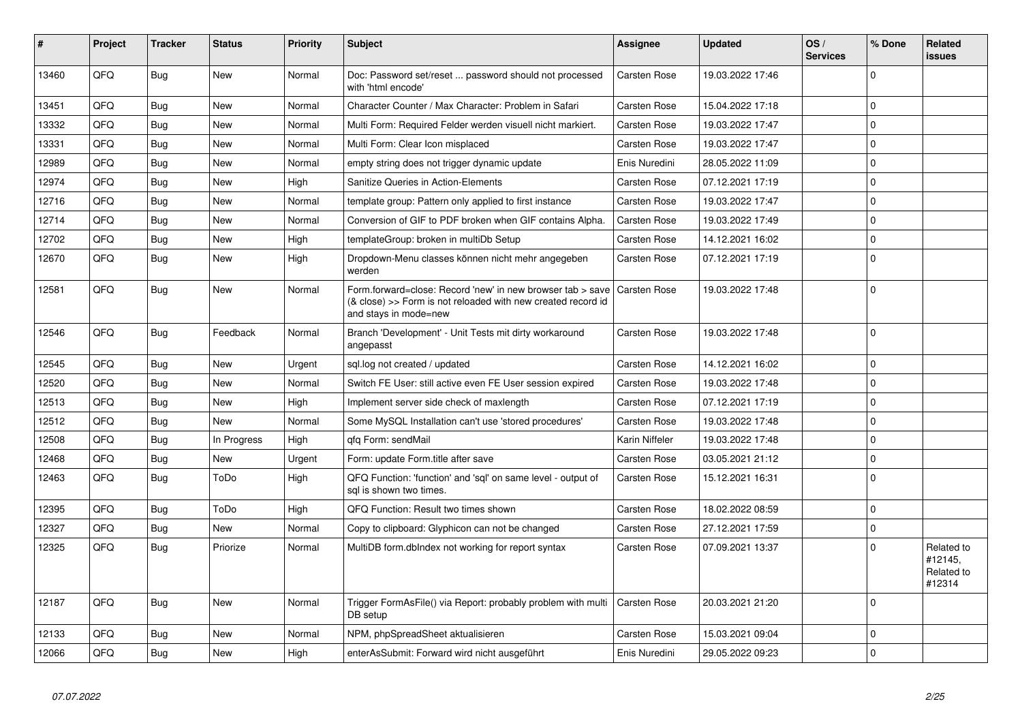| #     | Project | <b>Tracker</b> | <b>Status</b> | <b>Priority</b> | <b>Subject</b>                                                                                                                                      | Assignee            | <b>Updated</b>   | OS/<br><b>Services</b> | % Done       | Related<br>issues                             |
|-------|---------|----------------|---------------|-----------------|-----------------------------------------------------------------------------------------------------------------------------------------------------|---------------------|------------------|------------------------|--------------|-----------------------------------------------|
| 13460 | QFQ     | <b>Bug</b>     | <b>New</b>    | Normal          | Doc: Password set/reset  password should not processed<br>with 'html encode'                                                                        | Carsten Rose        | 19.03.2022 17:46 |                        | $\mathbf 0$  |                                               |
| 13451 | QFQ     | Bug            | New           | Normal          | Character Counter / Max Character: Problem in Safari                                                                                                | Carsten Rose        | 15.04.2022 17:18 |                        | $\mathbf 0$  |                                               |
| 13332 | QFQ     | Bug            | <b>New</b>    | Normal          | Multi Form: Required Felder werden visuell nicht markiert.                                                                                          | Carsten Rose        | 19.03.2022 17:47 |                        | $\mathbf 0$  |                                               |
| 13331 | QFQ     | <b>Bug</b>     | <b>New</b>    | Normal          | Multi Form: Clear Icon misplaced                                                                                                                    | Carsten Rose        | 19.03.2022 17:47 |                        | $\mathbf{0}$ |                                               |
| 12989 | QFQ     | Bug            | <b>New</b>    | Normal          | empty string does not trigger dynamic update                                                                                                        | Enis Nuredini       | 28.05.2022 11:09 |                        | $\mathbf 0$  |                                               |
| 12974 | QFQ     | <b>Bug</b>     | <b>New</b>    | High            | Sanitize Queries in Action-Elements                                                                                                                 | Carsten Rose        | 07.12.2021 17:19 |                        | $\Omega$     |                                               |
| 12716 | QFQ     | Bug            | <b>New</b>    | Normal          | template group: Pattern only applied to first instance                                                                                              | Carsten Rose        | 19.03.2022 17:47 |                        | $\mathbf 0$  |                                               |
| 12714 | QFQ     | <b>Bug</b>     | New           | Normal          | Conversion of GIF to PDF broken when GIF contains Alpha.                                                                                            | <b>Carsten Rose</b> | 19.03.2022 17:49 |                        | $\Omega$     |                                               |
| 12702 | QFQ     | Bug            | New           | High            | templateGroup: broken in multiDb Setup                                                                                                              | Carsten Rose        | 14.12.2021 16:02 |                        | $\mathbf 0$  |                                               |
| 12670 | QFQ     | <b>Bug</b>     | New           | High            | Dropdown-Menu classes können nicht mehr angegeben<br>werden                                                                                         | Carsten Rose        | 07.12.2021 17:19 |                        | $\Omega$     |                                               |
| 12581 | QFQ     | <b>Bug</b>     | New           | Normal          | Form.forward=close: Record 'new' in new browser tab > save<br>(& close) >> Form is not reloaded with new created record id<br>and stays in mode=new | Carsten Rose        | 19.03.2022 17:48 |                        | $\mathbf 0$  |                                               |
| 12546 | QFQ     | <b>Bug</b>     | Feedback      | Normal          | Branch 'Development' - Unit Tests mit dirty workaround<br>angepasst                                                                                 | Carsten Rose        | 19.03.2022 17:48 |                        | $\Omega$     |                                               |
| 12545 | QFQ     | <b>Bug</b>     | <b>New</b>    | Urgent          | sgl.log not created / updated                                                                                                                       | Carsten Rose        | 14.12.2021 16:02 |                        | $\Omega$     |                                               |
| 12520 | QFQ     | Bug            | <b>New</b>    | Normal          | Switch FE User: still active even FE User session expired                                                                                           | Carsten Rose        | 19.03.2022 17:48 |                        | $\mathbf{0}$ |                                               |
| 12513 | QFQ     | <b>Bug</b>     | <b>New</b>    | High            | Implement server side check of maxlength                                                                                                            | Carsten Rose        | 07.12.2021 17:19 |                        | $\Omega$     |                                               |
| 12512 | QFQ     | <b>Bug</b>     | <b>New</b>    | Normal          | Some MySQL Installation can't use 'stored procedures'                                                                                               | Carsten Rose        | 19.03.2022 17:48 |                        | $\mathbf 0$  |                                               |
| 12508 | QFQ     | Bug            | In Progress   | High            | qfq Form: sendMail                                                                                                                                  | Karin Niffeler      | 19.03.2022 17:48 |                        | $\mathbf 0$  |                                               |
| 12468 | QFQ     | <b>Bug</b>     | New           | Urgent          | Form: update Form.title after save                                                                                                                  | Carsten Rose        | 03.05.2021 21:12 |                        | $\mathsf{O}$ |                                               |
| 12463 | QFQ     | Bug            | ToDo          | High            | QFQ Function: 'function' and 'sql' on same level - output of<br>sal is shown two times.                                                             | Carsten Rose        | 15.12.2021 16:31 |                        | $\Omega$     |                                               |
| 12395 | QFQ     | Bug            | ToDo          | High            | QFQ Function: Result two times shown                                                                                                                | Carsten Rose        | 18.02.2022 08:59 |                        | $\mathbf{0}$ |                                               |
| 12327 | QFQ     | Bug            | <b>New</b>    | Normal          | Copy to clipboard: Glyphicon can not be changed                                                                                                     | <b>Carsten Rose</b> | 27.12.2021 17:59 |                        | $\Omega$     |                                               |
| 12325 | QFQ     | Bug            | Priorize      | Normal          | MultiDB form.dblndex not working for report syntax                                                                                                  | Carsten Rose        | 07.09.2021 13:37 |                        | $\Omega$     | Related to<br>#12145,<br>Related to<br>#12314 |
| 12187 | QFQ     | <b>Bug</b>     | New           | Normal          | Trigger FormAsFile() via Report: probably problem with multi<br>DB setup                                                                            | Carsten Rose        | 20.03.2021 21:20 |                        | $\mathbf 0$  |                                               |
| 12133 | QFQ     | Bug            | <b>New</b>    | Normal          | NPM, phpSpreadSheet aktualisieren                                                                                                                   | Carsten Rose        | 15.03.2021 09:04 |                        | $\mathbf 0$  |                                               |
| 12066 | QFQ     | Bug            | New           | High            | enterAsSubmit: Forward wird nicht ausgeführt                                                                                                        | Enis Nuredini       | 29.05.2022 09:23 |                        | $\mathbf 0$  |                                               |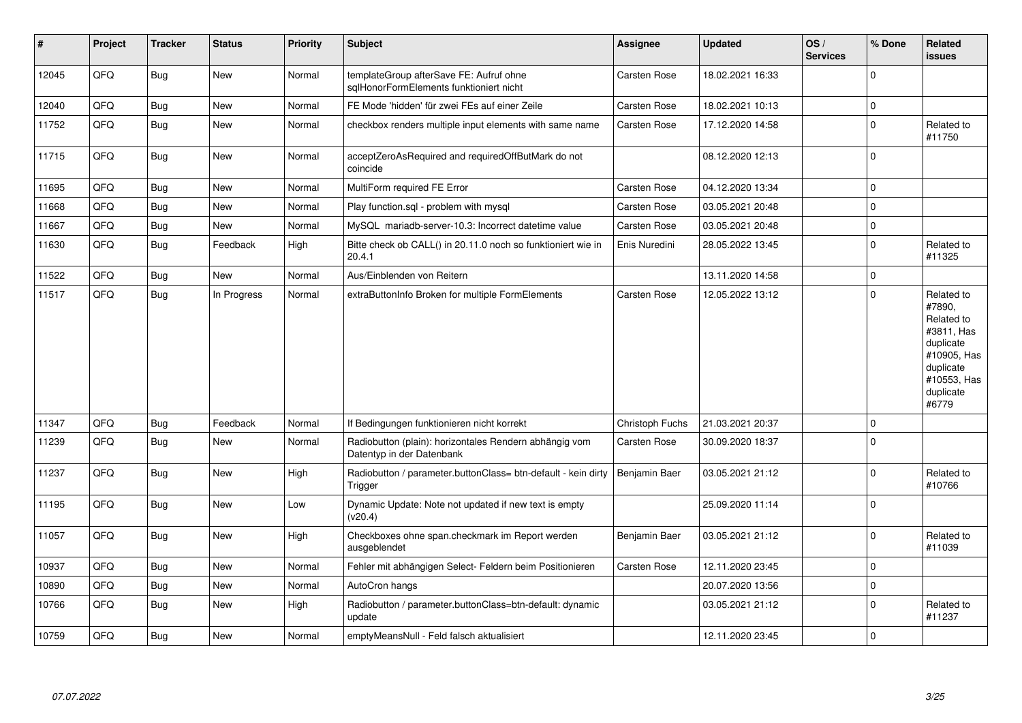| $\vert$ # | Project | <b>Tracker</b> | <b>Status</b> | <b>Priority</b> | <b>Subject</b>                                                                      | <b>Assignee</b>     | <b>Updated</b>   | OS/<br><b>Services</b> | % Done       | <b>Related</b><br>issues                                                                                                       |
|-----------|---------|----------------|---------------|-----------------|-------------------------------------------------------------------------------------|---------------------|------------------|------------------------|--------------|--------------------------------------------------------------------------------------------------------------------------------|
| 12045     | QFQ     | <b>Bug</b>     | <b>New</b>    | Normal          | templateGroup afterSave FE: Aufruf ohne<br>sqlHonorFormElements funktioniert nicht  | Carsten Rose        | 18.02.2021 16:33 |                        | $\mathbf 0$  |                                                                                                                                |
| 12040     | QFQ     | <b>Bug</b>     | <b>New</b>    | Normal          | FE Mode 'hidden' für zwei FEs auf einer Zeile                                       | <b>Carsten Rose</b> | 18.02.2021 10:13 |                        | $\mathbf{0}$ |                                                                                                                                |
| 11752     | QFQ     | Bug            | <b>New</b>    | Normal          | checkbox renders multiple input elements with same name                             | <b>Carsten Rose</b> | 17.12.2020 14:58 |                        | $\mathbf 0$  | Related to<br>#11750                                                                                                           |
| 11715     | QFQ     | Bug            | New           | Normal          | acceptZeroAsRequired and requiredOffButMark do not<br>coincide                      |                     | 08.12.2020 12:13 |                        | $\mathbf 0$  |                                                                                                                                |
| 11695     | QFQ     | <b>Bug</b>     | <b>New</b>    | Normal          | MultiForm required FE Error                                                         | Carsten Rose        | 04.12.2020 13:34 |                        | $\mathbf 0$  |                                                                                                                                |
| 11668     | QFQ     | <b>Bug</b>     | <b>New</b>    | Normal          | Play function.sql - problem with mysql                                              | Carsten Rose        | 03.05.2021 20:48 |                        | $\mathbf 0$  |                                                                                                                                |
| 11667     | QFQ     | <b>Bug</b>     | New           | Normal          | MySQL mariadb-server-10.3: Incorrect datetime value                                 | Carsten Rose        | 03.05.2021 20:48 |                        | $\pmb{0}$    |                                                                                                                                |
| 11630     | QFQ     | <b>Bug</b>     | Feedback      | High            | Bitte check ob CALL() in 20.11.0 noch so funktioniert wie in<br>20.4.1              | Enis Nuredini       | 28.05.2022 13:45 |                        | $\mathbf 0$  | Related to<br>#11325                                                                                                           |
| 11522     | QFQ     | Bug            | <b>New</b>    | Normal          | Aus/Einblenden von Reitern                                                          |                     | 13.11.2020 14:58 |                        | $\mathbf 0$  |                                                                                                                                |
| 11517     | QFQ     | <b>Bug</b>     | In Progress   | Normal          | extraButtonInfo Broken for multiple FormElements                                    | <b>Carsten Rose</b> | 12.05.2022 13:12 |                        | $\mathbf 0$  | Related to<br>#7890.<br>Related to<br>#3811, Has<br>duplicate<br>#10905, Has<br>duplicate<br>#10553, Has<br>duplicate<br>#6779 |
| 11347     | QFQ     | <b>Bug</b>     | Feedback      | Normal          | If Bedingungen funktionieren nicht korrekt                                          | Christoph Fuchs     | 21.03.2021 20:37 |                        | $\mathbf 0$  |                                                                                                                                |
| 11239     | QFQ     | <b>Bug</b>     | <b>New</b>    | Normal          | Radiobutton (plain): horizontales Rendern abhängig vom<br>Datentyp in der Datenbank | <b>Carsten Rose</b> | 30.09.2020 18:37 |                        | $\mathbf 0$  |                                                                                                                                |
| 11237     | QFQ     | Bug            | <b>New</b>    | High            | Radiobutton / parameter.buttonClass= btn-default - kein dirty<br>Trigger            | Benjamin Baer       | 03.05.2021 21:12 |                        | $\mathbf 0$  | Related to<br>#10766                                                                                                           |
| 11195     | QFQ     | <b>Bug</b>     | New           | Low             | Dynamic Update: Note not updated if new text is empty<br>(v20.4)                    |                     | 25.09.2020 11:14 |                        | $\mathbf 0$  |                                                                                                                                |
| 11057     | QFQ     | Bug            | <b>New</b>    | High            | Checkboxes ohne span.checkmark im Report werden<br>ausgeblendet                     | Benjamin Baer       | 03.05.2021 21:12 |                        | $\mathbf 0$  | Related to<br>#11039                                                                                                           |
| 10937     | QFQ     | Bug            | <b>New</b>    | Normal          | Fehler mit abhängigen Select- Feldern beim Positionieren                            | Carsten Rose        | 12.11.2020 23:45 |                        | $\mathbf 0$  |                                                                                                                                |
| 10890     | QFQ     | Bug            | New           | Normal          | AutoCron hangs                                                                      |                     | 20.07.2020 13:56 |                        | $\pmb{0}$    |                                                                                                                                |
| 10766     | QFQ     | <b>Bug</b>     | <b>New</b>    | High            | Radiobutton / parameter.buttonClass=btn-default: dynamic<br>update                  |                     | 03.05.2021 21:12 |                        | $\mathbf 0$  | Related to<br>#11237                                                                                                           |
| 10759     | QFQ     | <b>Bug</b>     | New           | Normal          | emptyMeansNull - Feld falsch aktualisiert                                           |                     | 12.11.2020 23:45 |                        | $\mathbf{0}$ |                                                                                                                                |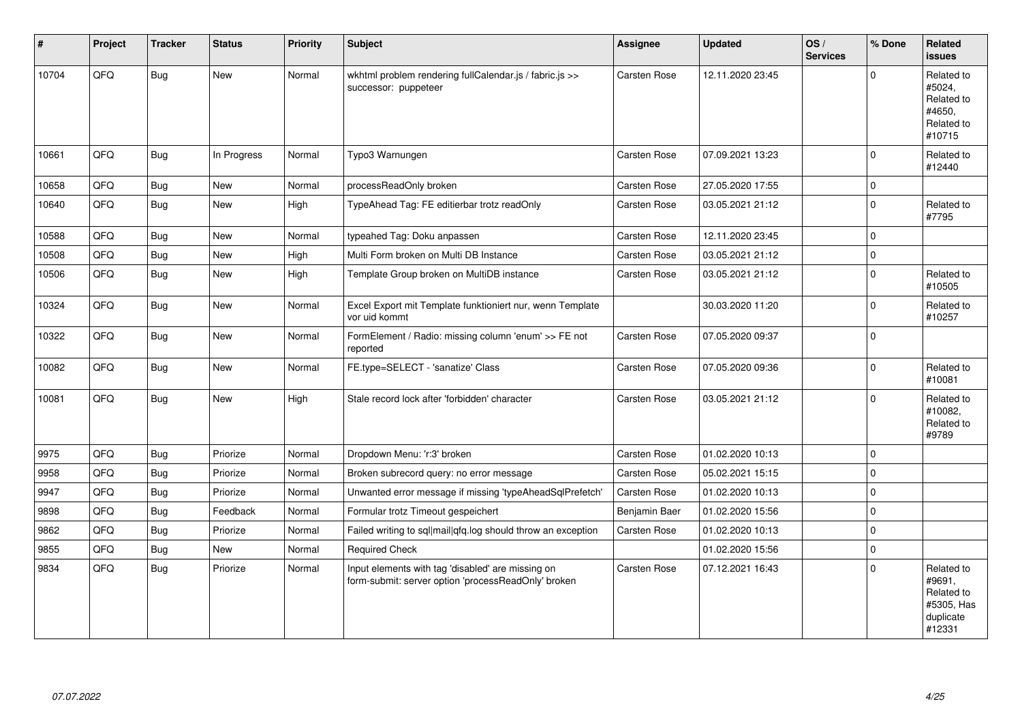| #     | Project | <b>Tracker</b> | <b>Status</b> | <b>Priority</b> | Subject                                                                                                  | <b>Assignee</b>     | <b>Updated</b>   | OS/<br><b>Services</b> | % Done      | Related<br><b>issues</b>                                                |
|-------|---------|----------------|---------------|-----------------|----------------------------------------------------------------------------------------------------------|---------------------|------------------|------------------------|-------------|-------------------------------------------------------------------------|
| 10704 | QFQ     | Bug            | <b>New</b>    | Normal          | wkhtml problem rendering fullCalendar.js / fabric.js >><br>successor: puppeteer                          | Carsten Rose        | 12.11.2020 23:45 |                        | $\Omega$    | Related to<br>#5024,<br>Related to<br>#4650.<br>Related to<br>#10715    |
| 10661 | QFQ     | Bug            | In Progress   | Normal          | Typo3 Warnungen                                                                                          | Carsten Rose        | 07.09.2021 13:23 |                        | $\Omega$    | Related to<br>#12440                                                    |
| 10658 | QFQ     | <b>Bug</b>     | <b>New</b>    | Normal          | processReadOnly broken                                                                                   | Carsten Rose        | 27.05.2020 17:55 |                        | $\mathbf 0$ |                                                                         |
| 10640 | QFQ     | Bug            | <b>New</b>    | High            | TypeAhead Tag: FE editierbar trotz readOnly                                                              | Carsten Rose        | 03.05.2021 21:12 |                        | $\Omega$    | Related to<br>#7795                                                     |
| 10588 | QFQ     | Bug            | <b>New</b>    | Normal          | typeahed Tag: Doku anpassen                                                                              | Carsten Rose        | 12.11.2020 23:45 |                        | $\mathbf 0$ |                                                                         |
| 10508 | QFQ     | Bug            | <b>New</b>    | High            | Multi Form broken on Multi DB Instance                                                                   | Carsten Rose        | 03.05.2021 21:12 |                        | $\mathbf 0$ |                                                                         |
| 10506 | QFQ     | Bug            | <b>New</b>    | High            | Template Group broken on MultiDB instance                                                                | <b>Carsten Rose</b> | 03.05.2021 21:12 |                        | $\Omega$    | Related to<br>#10505                                                    |
| 10324 | QFQ     | Bug            | <b>New</b>    | Normal          | Excel Export mit Template funktioniert nur, wenn Template<br>vor uid kommt                               |                     | 30.03.2020 11:20 |                        | $\mathbf 0$ | Related to<br>#10257                                                    |
| 10322 | QFQ     | Bug            | New           | Normal          | FormElement / Radio: missing column 'enum' >> FE not<br>reported                                         | Carsten Rose        | 07.05.2020 09:37 |                        | $\Omega$    |                                                                         |
| 10082 | QFQ     | <b>Bug</b>     | <b>New</b>    | Normal          | FE.type=SELECT - 'sanatize' Class                                                                        | Carsten Rose        | 07.05.2020 09:36 |                        | $\mathbf 0$ | Related to<br>#10081                                                    |
| 10081 | QFQ     | Bug            | <b>New</b>    | High            | Stale record lock after 'forbidden' character                                                            | Carsten Rose        | 03.05.2021 21:12 |                        | $\Omega$    | Related to<br>#10082,<br>Related to<br>#9789                            |
| 9975  | QFQ     | Bug            | Priorize      | Normal          | Dropdown Menu: 'r:3' broken                                                                              | Carsten Rose        | 01.02.2020 10:13 |                        | $\mathbf 0$ |                                                                         |
| 9958  | QFQ     | Bug            | Priorize      | Normal          | Broken subrecord query: no error message                                                                 | Carsten Rose        | 05.02.2021 15:15 |                        | $\mathbf 0$ |                                                                         |
| 9947  | QFQ     | Bug            | Priorize      | Normal          | Unwanted error message if missing 'typeAheadSqlPrefetch'                                                 | <b>Carsten Rose</b> | 01.02.2020 10:13 |                        | $\mathbf 0$ |                                                                         |
| 9898  | QFQ     | Bug            | Feedback      | Normal          | Formular trotz Timeout gespeichert                                                                       | Benjamin Baer       | 01.02.2020 15:56 |                        | $\mathbf 0$ |                                                                         |
| 9862  | QFQ     | Bug            | Priorize      | Normal          | Failed writing to sql mail qfq.log should throw an exception                                             | Carsten Rose        | 01.02.2020 10:13 |                        | $\mathbf 0$ |                                                                         |
| 9855  | QFQ     | <b>Bug</b>     | <b>New</b>    | Normal          | <b>Required Check</b>                                                                                    |                     | 01.02.2020 15:56 |                        | $\mathbf 0$ |                                                                         |
| 9834  | QFQ     | <b>Bug</b>     | Priorize      | Normal          | Input elements with tag 'disabled' are missing on<br>form-submit: server option 'processReadOnly' broken | <b>Carsten Rose</b> | 07.12.2021 16:43 |                        | $\Omega$    | Related to<br>#9691,<br>Related to<br>#5305, Has<br>duplicate<br>#12331 |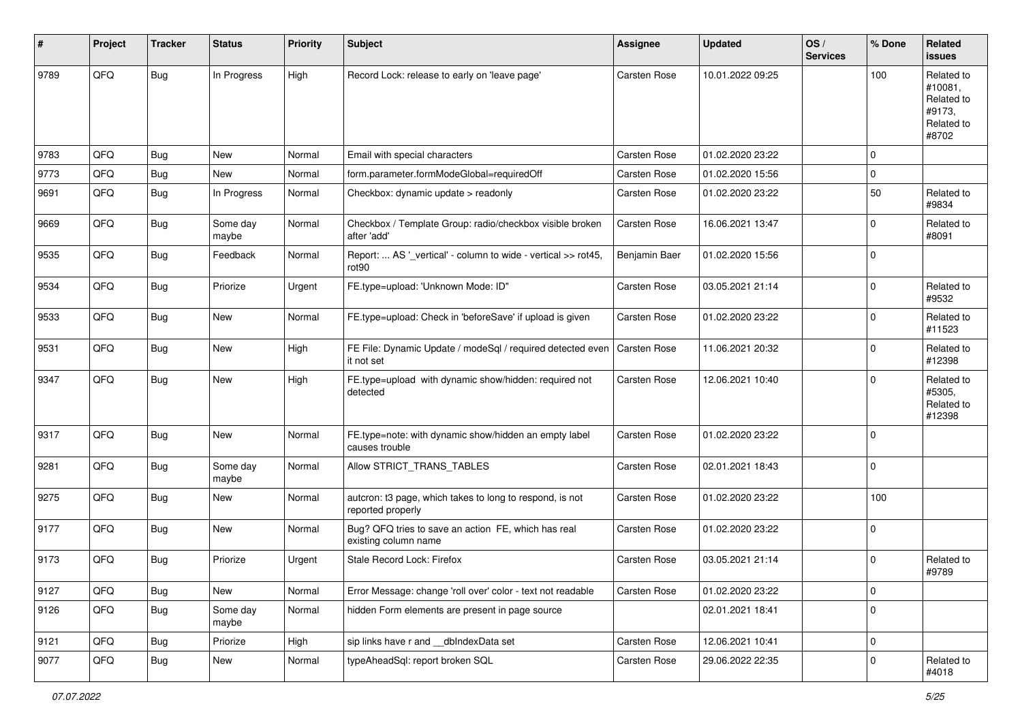| #    | Project | <b>Tracker</b> | <b>Status</b>     | <b>Priority</b> | Subject                                                                            | <b>Assignee</b>     | <b>Updated</b>   | OS/<br><b>Services</b> | % Done      | Related<br><b>issues</b>                                             |
|------|---------|----------------|-------------------|-----------------|------------------------------------------------------------------------------------|---------------------|------------------|------------------------|-------------|----------------------------------------------------------------------|
| 9789 | QFQ     | Bug            | In Progress       | High            | Record Lock: release to early on 'leave page'                                      | Carsten Rose        | 10.01.2022 09:25 |                        | 100         | Related to<br>#10081,<br>Related to<br>#9173.<br>Related to<br>#8702 |
| 9783 | QFQ     | Bug            | <b>New</b>        | Normal          | Email with special characters                                                      | Carsten Rose        | 01.02.2020 23:22 |                        | $\mathbf 0$ |                                                                      |
| 9773 | QFQ     | <b>Bug</b>     | New               | Normal          | form.parameter.formModeGlobal=requiredOff                                          | Carsten Rose        | 01.02.2020 15:56 |                        | 0           |                                                                      |
| 9691 | QFQ     | Bug            | In Progress       | Normal          | Checkbox: dynamic update > readonly                                                | Carsten Rose        | 01.02.2020 23:22 |                        | 50          | Related to<br>#9834                                                  |
| 9669 | QFQ     | Bug            | Some day<br>maybe | Normal          | Checkbox / Template Group: radio/checkbox visible broken<br>after 'add'            | Carsten Rose        | 16.06.2021 13:47 |                        | $\Omega$    | Related to<br>#8091                                                  |
| 9535 | QFQ     | Bug            | Feedback          | Normal          | Report:  AS '_vertical' - column to wide - vertical >> rot45,<br>rot <sub>90</sub> | Benjamin Baer       | 01.02.2020 15:56 |                        | $\mathbf 0$ |                                                                      |
| 9534 | QFQ     | Bug            | Priorize          | Urgent          | FE.type=upload: 'Unknown Mode: ID"                                                 | Carsten Rose        | 03.05.2021 21:14 |                        | $\mathbf 0$ | Related to<br>#9532                                                  |
| 9533 | QFQ     | Bug            | <b>New</b>        | Normal          | FE.type=upload: Check in 'beforeSave' if upload is given                           | Carsten Rose        | 01.02.2020 23:22 |                        | $\mathbf 0$ | Related to<br>#11523                                                 |
| 9531 | QFQ     | Bug            | New               | High            | FE File: Dynamic Update / modeSql / required detected even<br>it not set           | <b>Carsten Rose</b> | 11.06.2021 20:32 |                        | $\mathbf 0$ | Related to<br>#12398                                                 |
| 9347 | QFQ     | Bug            | <b>New</b>        | High            | FE.type=upload with dynamic show/hidden: required not<br>detected                  | Carsten Rose        | 12.06.2021 10:40 |                        | $\mathbf 0$ | Related to<br>#5305,<br>Related to<br>#12398                         |
| 9317 | QFQ     | Bug            | <b>New</b>        | Normal          | FE.type=note: with dynamic show/hidden an empty label<br>causes trouble            | Carsten Rose        | 01.02.2020 23:22 |                        | $\Omega$    |                                                                      |
| 9281 | QFQ     | Bug            | Some day<br>maybe | Normal          | Allow STRICT_TRANS_TABLES                                                          | Carsten Rose        | 02.01.2021 18:43 |                        | $\mathbf 0$ |                                                                      |
| 9275 | QFQ     | Bug            | <b>New</b>        | Normal          | autcron: t3 page, which takes to long to respond, is not<br>reported properly      | Carsten Rose        | 01.02.2020 23:22 |                        | 100         |                                                                      |
| 9177 | QFQ     | Bug            | New               | Normal          | Bug? QFQ tries to save an action FE, which has real<br>existing column name        | Carsten Rose        | 01.02.2020 23:22 |                        | $\mathbf 0$ |                                                                      |
| 9173 | QFQ     | Bug            | Priorize          | Urgent          | Stale Record Lock: Firefox                                                         | Carsten Rose        | 03.05.2021 21:14 |                        | $\mathbf 0$ | Related to<br>#9789                                                  |
| 9127 | QFQ     | <b>Bug</b>     | New               | Normal          | Error Message: change 'roll over' color - text not readable                        | Carsten Rose        | 01.02.2020 23:22 |                        | $\mathbf 0$ |                                                                      |
| 9126 | QFQ     | Bug            | Some day<br>maybe | Normal          | hidden Form elements are present in page source                                    |                     | 02.01.2021 18:41 |                        | $\mathbf 0$ |                                                                      |
| 9121 | QFQ     | <b>Bug</b>     | Priorize          | High            | sip links have r and __dbIndexData set                                             | Carsten Rose        | 12.06.2021 10:41 |                        | $\pmb{0}$   |                                                                      |
| 9077 | QFQ     | <b>Bug</b>     | New               | Normal          | typeAheadSql: report broken SQL                                                    | Carsten Rose        | 29.06.2022 22:35 |                        | $\mathbf 0$ | Related to<br>#4018                                                  |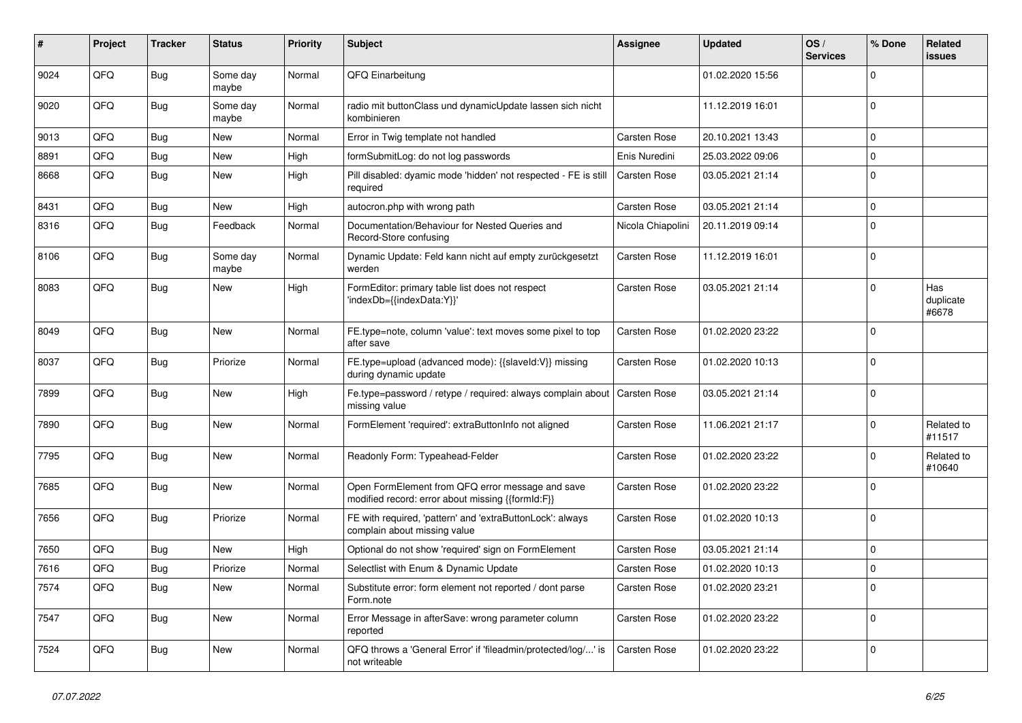| #    | Project | <b>Tracker</b> | <b>Status</b>     | <b>Priority</b> | Subject                                                                                               | <b>Assignee</b>   | <b>Updated</b>   | OS/<br><b>Services</b> | % Done      | Related<br>issues         |
|------|---------|----------------|-------------------|-----------------|-------------------------------------------------------------------------------------------------------|-------------------|------------------|------------------------|-------------|---------------------------|
| 9024 | QFQ     | Bug            | Some day<br>maybe | Normal          | QFQ Einarbeitung                                                                                      |                   | 01.02.2020 15:56 |                        | $\mathbf 0$ |                           |
| 9020 | QFQ     | Bug            | Some day<br>maybe | Normal          | radio mit buttonClass und dynamicUpdate lassen sich nicht<br>kombinieren                              |                   | 11.12.2019 16:01 |                        | $\mathbf 0$ |                           |
| 9013 | QFQ     | Bug            | New               | Normal          | Error in Twig template not handled                                                                    | Carsten Rose      | 20.10.2021 13:43 |                        | $\mathbf 0$ |                           |
| 8891 | QFQ     | Bug            | <b>New</b>        | High            | formSubmitLog: do not log passwords                                                                   | Enis Nuredini     | 25.03.2022 09:06 |                        | $\mathbf 0$ |                           |
| 8668 | QFQ     | Bug            | <b>New</b>        | High            | Pill disabled: dyamic mode 'hidden' not respected - FE is still<br>required                           | Carsten Rose      | 03.05.2021 21:14 |                        | $\mathbf 0$ |                           |
| 8431 | QFQ     | Bug            | <b>New</b>        | High            | autocron.php with wrong path                                                                          | Carsten Rose      | 03.05.2021 21:14 |                        | $\mathbf 0$ |                           |
| 8316 | QFQ     | Bug            | Feedback          | Normal          | Documentation/Behaviour for Nested Queries and<br>Record-Store confusing                              | Nicola Chiapolini | 20.11.2019 09:14 |                        | $\mathbf 0$ |                           |
| 8106 | QFQ     | <b>Bug</b>     | Some day<br>maybe | Normal          | Dynamic Update: Feld kann nicht auf empty zurückgesetzt<br>werden                                     | Carsten Rose      | 11.12.2019 16:01 |                        | $\mathbf 0$ |                           |
| 8083 | QFQ     | Bug            | <b>New</b>        | High            | FormEditor: primary table list does not respect<br>'indexDb={{indexData:Y}}'                          | Carsten Rose      | 03.05.2021 21:14 |                        | $\mathbf 0$ | Has<br>duplicate<br>#6678 |
| 8049 | QFQ     | Bug            | New               | Normal          | FE.type=note, column 'value': text moves some pixel to top<br>after save                              | Carsten Rose      | 01.02.2020 23:22 |                        | $\Omega$    |                           |
| 8037 | QFQ     | <b>Bug</b>     | Priorize          | Normal          | FE.type=upload (advanced mode): {{slaveld:V}} missing<br>during dynamic update                        | Carsten Rose      | 01.02.2020 10:13 |                        | $\mathbf 0$ |                           |
| 7899 | QFQ     | Bug            | <b>New</b>        | High            | Fe.type=password / retype / required: always complain about<br>missing value                          | Carsten Rose      | 03.05.2021 21:14 |                        | $\mathbf 0$ |                           |
| 7890 | QFQ     | Bug            | New               | Normal          | FormElement 'required': extraButtonInfo not aligned                                                   | Carsten Rose      | 11.06.2021 21:17 |                        | $\mathbf 0$ | Related to<br>#11517      |
| 7795 | QFQ     | Bug            | <b>New</b>        | Normal          | Readonly Form: Typeahead-Felder                                                                       | Carsten Rose      | 01.02.2020 23:22 |                        | $\mathbf 0$ | Related to<br>#10640      |
| 7685 | QFQ     | Bug            | New               | Normal          | Open FormElement from QFQ error message and save<br>modified record: error about missing {{formId:F}} | Carsten Rose      | 01.02.2020 23:22 |                        | $\mathbf 0$ |                           |
| 7656 | QFQ     | Bug            | Priorize          | Normal          | FE with required, 'pattern' and 'extraButtonLock': always<br>complain about missing value             | Carsten Rose      | 01.02.2020 10:13 |                        | $\mathbf 0$ |                           |
| 7650 | QFQ     | Bug            | New               | High            | Optional do not show 'required' sign on FormElement                                                   | Carsten Rose      | 03.05.2021 21:14 |                        | $\mathbf 0$ |                           |
| 7616 | QFQ     | Bug            | Priorize          | Normal          | Selectlist with Enum & Dynamic Update                                                                 | Carsten Rose      | 01.02.2020 10:13 |                        | $\mathbf 0$ |                           |
| 7574 | QFQ     | <b>Bug</b>     | New               | Normal          | Substitute error: form element not reported / dont parse<br>Form.note                                 | Carsten Rose      | 01.02.2020 23:21 |                        | 0           |                           |
| 7547 | QFQ     | <b>Bug</b>     | New               | Normal          | Error Message in afterSave: wrong parameter column<br>reported                                        | Carsten Rose      | 01.02.2020 23:22 |                        | $\mathbf 0$ |                           |
| 7524 | QFQ     | <b>Bug</b>     | New               | Normal          | QFQ throws a 'General Error' if 'fileadmin/protected/log/' is<br>not writeable                        | Carsten Rose      | 01.02.2020 23:22 |                        | $\mathbf 0$ |                           |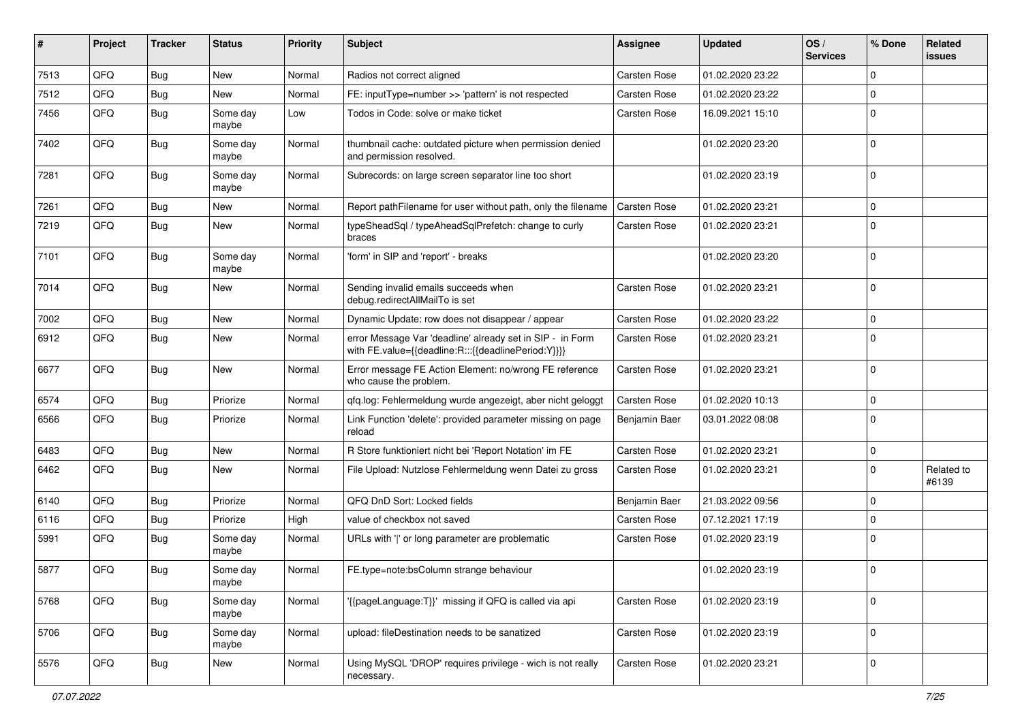| ∦    | Project | <b>Tracker</b> | <b>Status</b>     | <b>Priority</b> | Subject                                                                                                          | <b>Assignee</b>     | <b>Updated</b>   | OS/<br><b>Services</b> | % Done      | Related<br><b>issues</b> |
|------|---------|----------------|-------------------|-----------------|------------------------------------------------------------------------------------------------------------------|---------------------|------------------|------------------------|-------------|--------------------------|
| 7513 | QFQ     | Bug            | <b>New</b>        | Normal          | Radios not correct aligned                                                                                       | Carsten Rose        | 01.02.2020 23:22 |                        | $\Omega$    |                          |
| 7512 | QFQ     | Bug            | New               | Normal          | FE: inputType=number >> 'pattern' is not respected                                                               | Carsten Rose        | 01.02.2020 23:22 |                        | 0           |                          |
| 7456 | QFQ     | Bug            | Some day<br>maybe | Low             | Todos in Code: solve or make ticket                                                                              | Carsten Rose        | 16.09.2021 15:10 |                        | $\Omega$    |                          |
| 7402 | QFQ     | <b>Bug</b>     | Some day<br>maybe | Normal          | thumbnail cache: outdated picture when permission denied<br>and permission resolved.                             |                     | 01.02.2020 23:20 |                        | $\Omega$    |                          |
| 7281 | QFQ     | Bug            | Some day<br>maybe | Normal          | Subrecords: on large screen separator line too short                                                             |                     | 01.02.2020 23:19 |                        | $\Omega$    |                          |
| 7261 | QFQ     | Bug            | <b>New</b>        | Normal          | Report pathFilename for user without path, only the filename                                                     | Carsten Rose        | 01.02.2020 23:21 |                        | $\mathbf 0$ |                          |
| 7219 | QFQ     | <b>Bug</b>     | <b>New</b>        | Normal          | typeSheadSql / typeAheadSqlPrefetch: change to curly<br>braces                                                   | Carsten Rose        | 01.02.2020 23:21 |                        | $\Omega$    |                          |
| 7101 | QFQ     | Bug            | Some day<br>maybe | Normal          | 'form' in SIP and 'report' - breaks                                                                              |                     | 01.02.2020 23:20 |                        | $\Omega$    |                          |
| 7014 | QFQ     | Bug            | New               | Normal          | Sending invalid emails succeeds when<br>debug.redirectAllMailTo is set                                           | Carsten Rose        | 01.02.2020 23:21 |                        | $\Omega$    |                          |
| 7002 | QFQ     | <b>Bug</b>     | <b>New</b>        | Normal          | Dynamic Update: row does not disappear / appear                                                                  | <b>Carsten Rose</b> | 01.02.2020 23:22 |                        | $\mathbf 0$ |                          |
| 6912 | QFQ     | Bug            | <b>New</b>        | Normal          | error Message Var 'deadline' already set in SIP - in Form<br>with FE.value={{deadline:R:::{{deadlinePeriod:Y}}}} | Carsten Rose        | 01.02.2020 23:21 |                        | $\mathbf 0$ |                          |
| 6677 | QFQ     | Bug            | <b>New</b>        | Normal          | Error message FE Action Element: no/wrong FE reference<br>who cause the problem.                                 | Carsten Rose        | 01.02.2020 23:21 |                        | $\Omega$    |                          |
| 6574 | QFQ     | <b>Bug</b>     | Priorize          | Normal          | qfq.log: Fehlermeldung wurde angezeigt, aber nicht geloggt                                                       | Carsten Rose        | 01.02.2020 10:13 |                        | $\mathbf 0$ |                          |
| 6566 | QFQ     | Bug            | Priorize          | Normal          | Link Function 'delete': provided parameter missing on page<br>reload                                             | Benjamin Baer       | 03.01.2022 08:08 |                        | $\Omega$    |                          |
| 6483 | QFQ     | <b>Bug</b>     | <b>New</b>        | Normal          | R Store funktioniert nicht bei 'Report Notation' im FE                                                           | Carsten Rose        | 01.02.2020 23:21 |                        | 0           |                          |
| 6462 | QFQ     | Bug            | New               | Normal          | File Upload: Nutzlose Fehlermeldung wenn Datei zu gross                                                          | Carsten Rose        | 01.02.2020 23:21 |                        | $\Omega$    | Related to<br>#6139      |
| 6140 | QFQ     | Bug            | Priorize          | Normal          | QFQ DnD Sort: Locked fields                                                                                      | Benjamin Baer       | 21.03.2022 09:56 |                        | $\Omega$    |                          |
| 6116 | QFQ     | <b>Bug</b>     | Priorize          | High            | value of checkbox not saved                                                                                      | Carsten Rose        | 07.12.2021 17:19 |                        | $\Omega$    |                          |
| 5991 | QFQ     | <b>Bug</b>     | Some day<br>maybe | Normal          | URLs with ' ' or long parameter are problematic                                                                  | Carsten Rose        | 01.02.2020 23:19 |                        | $\mathbf 0$ |                          |
| 5877 | QFQ     | Bug            | Some day<br>maybe | Normal          | FE.type=note:bsColumn strange behaviour                                                                          |                     | 01.02.2020 23:19 |                        | $\mathbf 0$ |                          |
| 5768 | QFQ     | <b>Bug</b>     | Some day<br>maybe | Normal          | '{{pageLanguage:T}}' missing if QFQ is called via api                                                            | Carsten Rose        | 01.02.2020 23:19 |                        | $\mathbf 0$ |                          |
| 5706 | QFQ     | <b>Bug</b>     | Some day<br>maybe | Normal          | upload: fileDestination needs to be sanatized                                                                    | Carsten Rose        | 01.02.2020 23:19 |                        | $\mathbf 0$ |                          |
| 5576 | QFQ     | Bug            | New               | Normal          | Using MySQL 'DROP' requires privilege - wich is not really<br>necessary.                                         | Carsten Rose        | 01.02.2020 23:21 |                        | 0           |                          |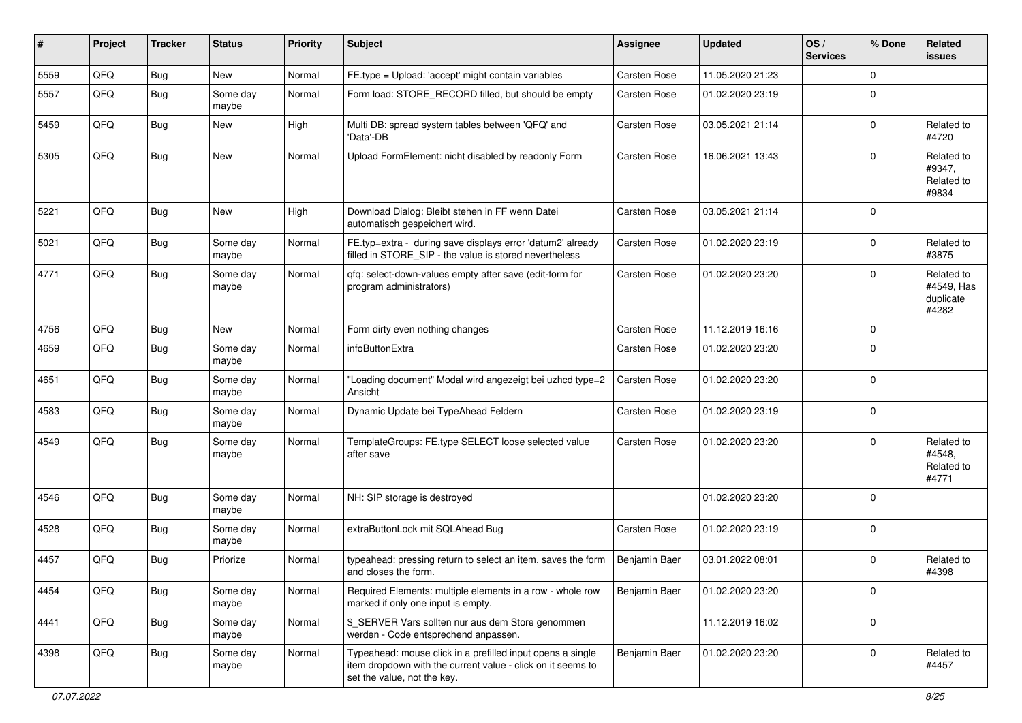| $\sharp$ | Project | <b>Tracker</b> | <b>Status</b>     | <b>Priority</b> | <b>Subject</b>                                                                                                                                           | <b>Assignee</b> | <b>Updated</b>   | OS/<br><b>Services</b> | % Done      | Related<br><b>issues</b>                       |
|----------|---------|----------------|-------------------|-----------------|----------------------------------------------------------------------------------------------------------------------------------------------------------|-----------------|------------------|------------------------|-------------|------------------------------------------------|
| 5559     | QFQ     | Bug            | New               | Normal          | FE.type = Upload: 'accept' might contain variables                                                                                                       | Carsten Rose    | 11.05.2020 21:23 |                        | $\Omega$    |                                                |
| 5557     | QFQ     | <b>Bug</b>     | Some day<br>maybe | Normal          | Form load: STORE_RECORD filled, but should be empty                                                                                                      | Carsten Rose    | 01.02.2020 23:19 |                        | $\mathbf 0$ |                                                |
| 5459     | QFQ     | <b>Bug</b>     | New               | High            | Multi DB: spread system tables between 'QFQ' and<br>'Data'-DB                                                                                            | Carsten Rose    | 03.05.2021 21:14 |                        | $\mathbf 0$ | Related to<br>#4720                            |
| 5305     | QFQ     | Bug            | New               | Normal          | Upload FormElement: nicht disabled by readonly Form                                                                                                      | Carsten Rose    | 16.06.2021 13:43 |                        | $\mathbf 0$ | Related to<br>#9347,<br>Related to<br>#9834    |
| 5221     | QFQ     | <b>Bug</b>     | <b>New</b>        | High            | Download Dialog: Bleibt stehen in FF wenn Datei<br>automatisch gespeichert wird.                                                                         | Carsten Rose    | 03.05.2021 21:14 |                        | $\mathbf 0$ |                                                |
| 5021     | QFQ     | <b>Bug</b>     | Some day<br>maybe | Normal          | FE.typ=extra - during save displays error 'datum2' already<br>filled in STORE_SIP - the value is stored nevertheless                                     | Carsten Rose    | 01.02.2020 23:19 |                        | $\mathbf 0$ | Related to<br>#3875                            |
| 4771     | QFQ     | <b>Bug</b>     | Some day<br>maybe | Normal          | qfq: select-down-values empty after save (edit-form for<br>program administrators)                                                                       | Carsten Rose    | 01.02.2020 23:20 |                        | $\mathbf 0$ | Related to<br>#4549, Has<br>duplicate<br>#4282 |
| 4756     | QFQ     | Bug            | New               | Normal          | Form dirty even nothing changes                                                                                                                          | Carsten Rose    | 11.12.2019 16:16 |                        | $\mathbf 0$ |                                                |
| 4659     | QFQ     | <b>Bug</b>     | Some day<br>maybe | Normal          | infoButtonExtra                                                                                                                                          | Carsten Rose    | 01.02.2020 23:20 |                        | $\mathbf 0$ |                                                |
| 4651     | QFQ     | Bug            | Some day<br>maybe | Normal          | "Loading document" Modal wird angezeigt bei uzhcd type=2<br>Ansicht                                                                                      | Carsten Rose    | 01.02.2020 23:20 |                        | $\mathbf 0$ |                                                |
| 4583     | QFQ     | Bug            | Some day<br>maybe | Normal          | Dynamic Update bei TypeAhead Feldern                                                                                                                     | Carsten Rose    | 01.02.2020 23:19 |                        | $\mathbf 0$ |                                                |
| 4549     | QFQ     | <b>Bug</b>     | Some day<br>maybe | Normal          | TemplateGroups: FE.type SELECT loose selected value<br>after save                                                                                        | Carsten Rose    | 01.02.2020 23:20 |                        | $\Omega$    | Related to<br>#4548,<br>Related to<br>#4771    |
| 4546     | QFQ     | Bug            | Some day<br>maybe | Normal          | NH: SIP storage is destroyed                                                                                                                             |                 | 01.02.2020 23:20 |                        | $\mathbf 0$ |                                                |
| 4528     | QFQ     | <b>Bug</b>     | Some day<br>maybe | Normal          | extraButtonLock mit SQLAhead Bug                                                                                                                         | Carsten Rose    | 01.02.2020 23:19 |                        | $\mathbf 0$ |                                                |
| 4457     | QFQ     | Bug            | Priorize          | Normal          | typeahead: pressing return to select an item, saves the form<br>and closes the form.                                                                     | Benjamin Baer   | 03.01.2022 08:01 |                        | $\mathbf 0$ | Related to<br>#4398                            |
| 4454     | QFQ     | <b>Bug</b>     | Some day<br>maybe | Normal          | Required Elements: multiple elements in a row - whole row<br>marked if only one input is empty.                                                          | Benjamin Baer   | 01.02.2020 23:20 |                        | $\mathbf 0$ |                                                |
| 4441     | QFQ     | <b>Bug</b>     | Some day<br>maybe | Normal          | \$_SERVER Vars sollten nur aus dem Store genommen<br>werden - Code entsprechend anpassen.                                                                |                 | 11.12.2019 16:02 |                        | $\mathbf 0$ |                                                |
| 4398     | QFQ     | Bug            | Some day<br>maybe | Normal          | Typeahead: mouse click in a prefilled input opens a single<br>item dropdown with the current value - click on it seems to<br>set the value, not the key. | Benjamin Baer   | 01.02.2020 23:20 |                        | $\mathbf 0$ | Related to<br>#4457                            |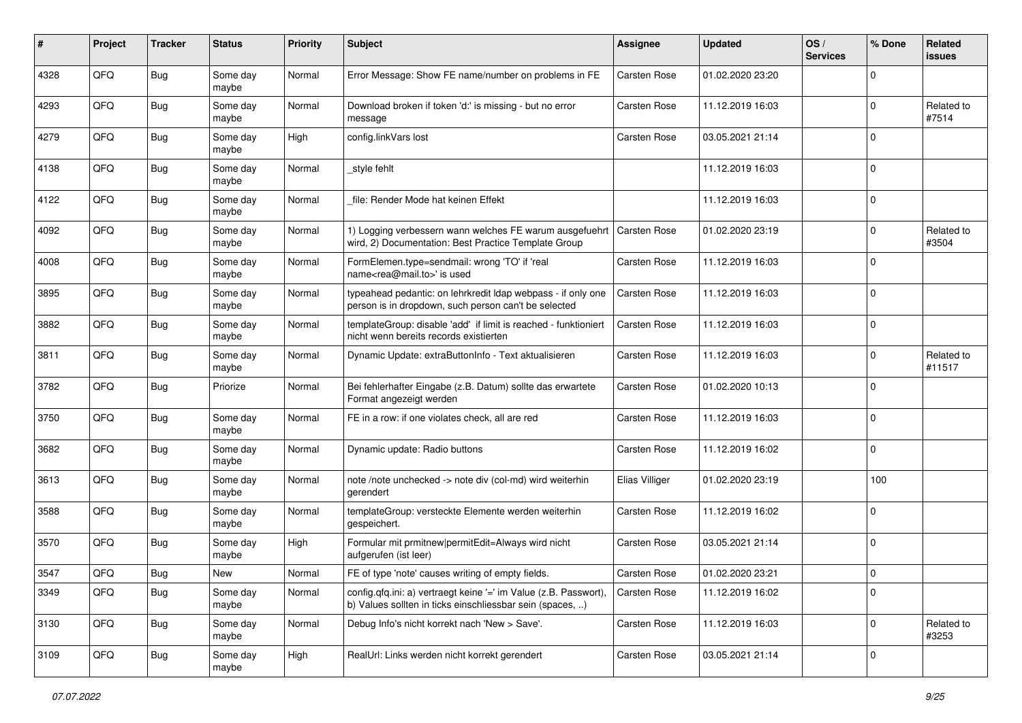| #    | Project | <b>Tracker</b> | <b>Status</b>     | <b>Priority</b> | <b>Subject</b>                                                                                                                | <b>Assignee</b>     | <b>Updated</b>   | OS/<br><b>Services</b> | % Done         | Related<br><b>issues</b> |
|------|---------|----------------|-------------------|-----------------|-------------------------------------------------------------------------------------------------------------------------------|---------------------|------------------|------------------------|----------------|--------------------------|
| 4328 | QFQ     | <b>Bug</b>     | Some day<br>maybe | Normal          | Error Message: Show FE name/number on problems in FE                                                                          | Carsten Rose        | 01.02.2020 23:20 |                        | $\mathbf 0$    |                          |
| 4293 | QFQ     | <b>Bug</b>     | Some day<br>maybe | Normal          | Download broken if token 'd:' is missing - but no error<br>message                                                            | Carsten Rose        | 11.12.2019 16:03 |                        | $\overline{0}$ | Related to<br>#7514      |
| 4279 | QFQ     | Bug            | Some day<br>maybe | High            | config.linkVars lost                                                                                                          | Carsten Rose        | 03.05.2021 21:14 |                        | $\mathbf 0$    |                          |
| 4138 | QFQ     | Bug            | Some day<br>maybe | Normal          | style fehlt                                                                                                                   |                     | 11.12.2019 16:03 |                        | $\mathbf 0$    |                          |
| 4122 | QFQ     | Bug            | Some day<br>maybe | Normal          | file: Render Mode hat keinen Effekt                                                                                           |                     | 11.12.2019 16:03 |                        | $\mathbf 0$    |                          |
| 4092 | QFQ     | Bug            | Some day<br>maybe | Normal          | 1) Logging verbessern wann welches FE warum ausgefuehrt<br>wird, 2) Documentation: Best Practice Template Group               | <b>Carsten Rose</b> | 01.02.2020 23:19 |                        | $\mathbf 0$    | Related to<br>#3504      |
| 4008 | QFQ     | <b>Bug</b>     | Some day<br>maybe | Normal          | FormElemen.type=sendmail: wrong 'TO' if 'real<br>name <rea@mail.to>' is used</rea@mail.to>                                    | Carsten Rose        | 11.12.2019 16:03 |                        | $\Omega$       |                          |
| 3895 | QFQ     | Bug            | Some day<br>maybe | Normal          | typeahead pedantic: on lehrkredit Idap webpass - if only one<br>person is in dropdown, such person can't be selected          | Carsten Rose        | 11.12.2019 16:03 |                        | $\mathbf 0$    |                          |
| 3882 | QFQ     | Bug            | Some day<br>maybe | Normal          | templateGroup: disable 'add' if limit is reached - funktioniert<br>nicht wenn bereits records existierten                     | Carsten Rose        | 11.12.2019 16:03 |                        | $\mathbf 0$    |                          |
| 3811 | QFQ     | Bug            | Some day<br>maybe | Normal          | Dynamic Update: extraButtonInfo - Text aktualisieren                                                                          | Carsten Rose        | 11.12.2019 16:03 |                        | $\mathbf 0$    | Related to<br>#11517     |
| 3782 | QFQ     | Bug            | Priorize          | Normal          | Bei fehlerhafter Eingabe (z.B. Datum) sollte das erwartete<br>Format angezeigt werden                                         | Carsten Rose        | 01.02.2020 10:13 |                        | $\overline{0}$ |                          |
| 3750 | QFQ     | <b>Bug</b>     | Some day<br>maybe | Normal          | FE in a row: if one violates check, all are red                                                                               | Carsten Rose        | 11.12.2019 16:03 |                        | $\mathbf 0$    |                          |
| 3682 | QFQ     | Bug            | Some day<br>maybe | Normal          | Dynamic update: Radio buttons                                                                                                 | Carsten Rose        | 11.12.2019 16:02 |                        | $\mathbf 0$    |                          |
| 3613 | QFQ     | <b>Bug</b>     | Some day<br>maybe | Normal          | note /note unchecked -> note div (col-md) wird weiterhin<br>gerendert                                                         | Elias Villiger      | 01.02.2020 23:19 |                        | 100            |                          |
| 3588 | QFQ     | Bug            | Some day<br>maybe | Normal          | templateGroup: versteckte Elemente werden weiterhin<br>gespeichert.                                                           | Carsten Rose        | 11.12.2019 16:02 |                        | $\mathbf 0$    |                          |
| 3570 | QFQ     | Bug            | Some day<br>maybe | High            | Formular mit prmitnew permitEdit=Always wird nicht<br>aufgerufen (ist leer)                                                   | Carsten Rose        | 03.05.2021 21:14 |                        | $\overline{0}$ |                          |
| 3547 | QFQ     | Bug            | <b>New</b>        | Normal          | FE of type 'note' causes writing of empty fields.                                                                             | Carsten Rose        | 01.02.2020 23:21 |                        | $\overline{0}$ |                          |
| 3349 | QFQ     | <b>Bug</b>     | Some day<br>maybe | Normal          | config.qfq.ini: a) vertraegt keine '=' im Value (z.B. Passwort),<br>b) Values sollten in ticks einschliessbar sein (spaces, ) | Carsten Rose        | 11.12.2019 16:02 |                        | $\mathbf 0$    |                          |
| 3130 | QFQ     | <b>Bug</b>     | Some day<br>maybe | Normal          | Debug Info's nicht korrekt nach 'New > Save'.                                                                                 | Carsten Rose        | 11.12.2019 16:03 |                        | $\mathbf 0$    | Related to<br>#3253      |
| 3109 | QFQ     | Bug            | Some day<br>maybe | High            | RealUrl: Links werden nicht korrekt gerendert                                                                                 | Carsten Rose        | 03.05.2021 21:14 |                        | 0              |                          |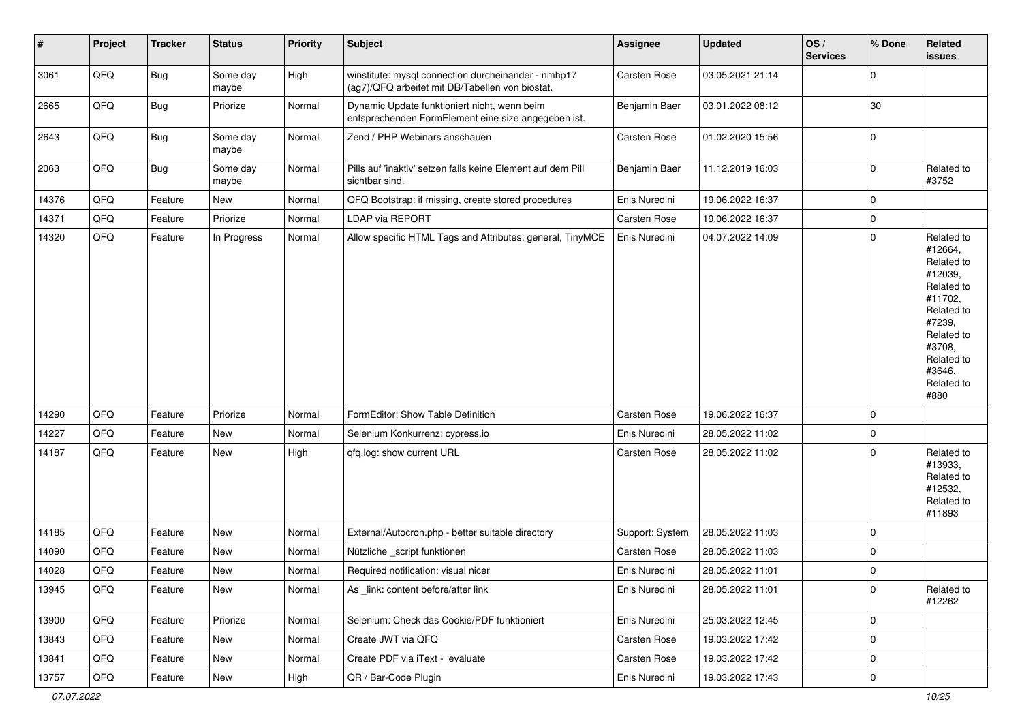| $\vert$ # | Project | <b>Tracker</b> | <b>Status</b>     | <b>Priority</b> | Subject                                                                                                | Assignee        | <b>Updated</b>   | OS/<br><b>Services</b> | % Done      | Related<br>issues                                                                                                                                                     |
|-----------|---------|----------------|-------------------|-----------------|--------------------------------------------------------------------------------------------------------|-----------------|------------------|------------------------|-------------|-----------------------------------------------------------------------------------------------------------------------------------------------------------------------|
| 3061      | QFQ     | Bug            | Some day<br>maybe | High            | winstitute: mysql connection durcheinander - nmhp17<br>(ag7)/QFQ arbeitet mit DB/Tabellen von biostat. | Carsten Rose    | 03.05.2021 21:14 |                        | $\mathbf 0$ |                                                                                                                                                                       |
| 2665      | QFQ     | <b>Bug</b>     | Priorize          | Normal          | Dynamic Update funktioniert nicht, wenn beim<br>entsprechenden FormElement eine size angegeben ist.    | Benjamin Baer   | 03.01.2022 08:12 |                        | 30          |                                                                                                                                                                       |
| 2643      | QFQ     | <b>Bug</b>     | Some day<br>maybe | Normal          | Zend / PHP Webinars anschauen                                                                          | Carsten Rose    | 01.02.2020 15:56 |                        | $\mathbf 0$ |                                                                                                                                                                       |
| 2063      | QFQ     | Bug            | Some day<br>maybe | Normal          | Pills auf 'inaktiv' setzen falls keine Element auf dem Pill<br>sichtbar sind.                          | Benjamin Baer   | 11.12.2019 16:03 |                        | $\mathbf 0$ | Related to<br>#3752                                                                                                                                                   |
| 14376     | QFQ     | Feature        | <b>New</b>        | Normal          | QFQ Bootstrap: if missing, create stored procedures                                                    | Enis Nuredini   | 19.06.2022 16:37 |                        | $\mathbf 0$ |                                                                                                                                                                       |
| 14371     | QFQ     | Feature        | Priorize          | Normal          | LDAP via REPORT                                                                                        | Carsten Rose    | 19.06.2022 16:37 |                        | $\mathbf 0$ |                                                                                                                                                                       |
| 14320     | QFQ     | Feature        | In Progress       | Normal          | Allow specific HTML Tags and Attributes: general, TinyMCE                                              | Enis Nuredini   | 04.07.2022 14:09 |                        | $\mathbf 0$ | Related to<br>#12664,<br>Related to<br>#12039,<br>Related to<br>#11702,<br>Related to<br>#7239,<br>Related to<br>#3708,<br>Related to<br>#3646,<br>Related to<br>#880 |
| 14290     | QFQ     | Feature        | Priorize          | Normal          | FormEditor: Show Table Definition                                                                      | Carsten Rose    | 19.06.2022 16:37 |                        | $\mathbf 0$ |                                                                                                                                                                       |
| 14227     | QFQ     | Feature        | New               | Normal          | Selenium Konkurrenz: cypress.io                                                                        | Enis Nuredini   | 28.05.2022 11:02 |                        | $\mathbf 0$ |                                                                                                                                                                       |
| 14187     | QFQ     | Feature        | <b>New</b>        | High            | qfq.log: show current URL                                                                              | Carsten Rose    | 28.05.2022 11:02 |                        | $\mathbf 0$ | Related to<br>#13933,<br>Related to<br>#12532,<br>Related to<br>#11893                                                                                                |
| 14185     | QFQ     | Feature        | New               | Normal          | External/Autocron.php - better suitable directory                                                      | Support: System | 28.05.2022 11:03 |                        | $\mathbf 0$ |                                                                                                                                                                       |
| 14090     | QFQ     | Feature        | New               | Normal          | Nützliche _script funktionen                                                                           | Carsten Rose    | 28.05.2022 11:03 |                        | $\mathbf 0$ |                                                                                                                                                                       |
| 14028     | QFQ     | Feature        | New               | Normal          | Required notification: visual nicer                                                                    | Enis Nuredini   | 28.05.2022 11:01 |                        | $\mathbf 0$ |                                                                                                                                                                       |
| 13945     | QFQ     | Feature        | New               | Normal          | As _link: content before/after link                                                                    | Enis Nuredini   | 28.05.2022 11:01 |                        | $\pmb{0}$   | Related to<br>#12262                                                                                                                                                  |
| 13900     | QFQ     | Feature        | Priorize          | Normal          | Selenium: Check das Cookie/PDF funktioniert                                                            | Enis Nuredini   | 25.03.2022 12:45 |                        | $\mathbf 0$ |                                                                                                                                                                       |
| 13843     | QFQ     | Feature        | New               | Normal          | Create JWT via QFQ                                                                                     | Carsten Rose    | 19.03.2022 17:42 |                        | $\mathbf 0$ |                                                                                                                                                                       |
| 13841     | QFQ     | Feature        | New               | Normal          | Create PDF via iText - evaluate                                                                        | Carsten Rose    | 19.03.2022 17:42 |                        | $\pmb{0}$   |                                                                                                                                                                       |
| 13757     | QFG     | Feature        | New               | High            | QR / Bar-Code Plugin                                                                                   | Enis Nuredini   | 19.03.2022 17:43 |                        | $\pmb{0}$   |                                                                                                                                                                       |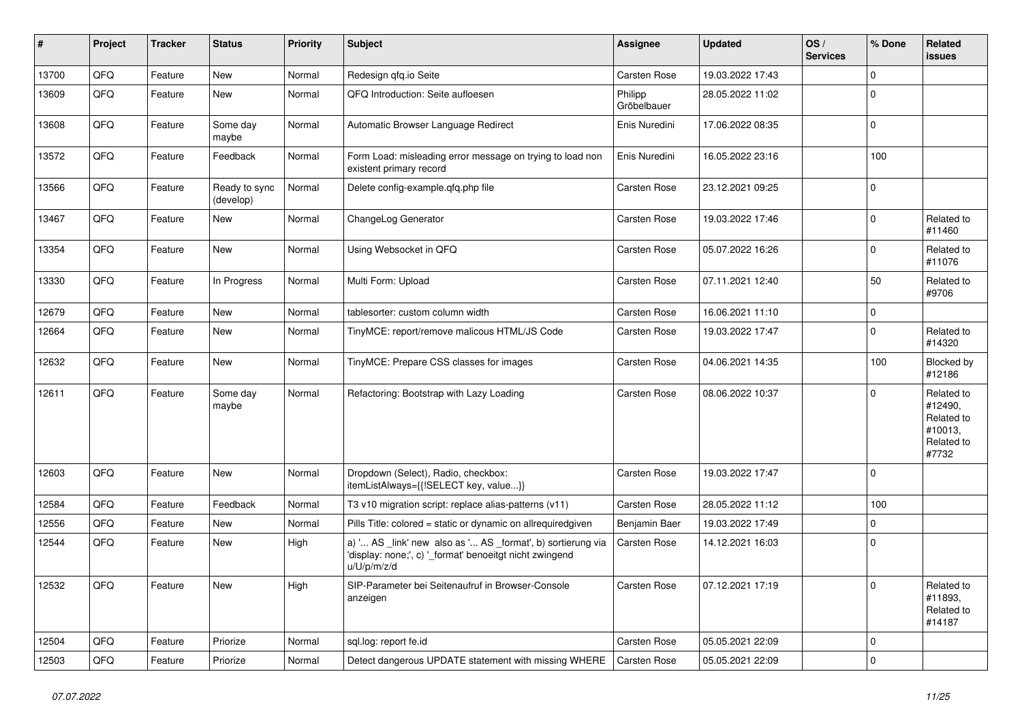| #     | Project | <b>Tracker</b> | <b>Status</b>              | <b>Priority</b> | <b>Subject</b>                                                                                                                        | Assignee               | <b>Updated</b>   | OS/<br><b>Services</b> | % Done      | <b>Related</b><br><b>issues</b>                                       |
|-------|---------|----------------|----------------------------|-----------------|---------------------------------------------------------------------------------------------------------------------------------------|------------------------|------------------|------------------------|-------------|-----------------------------------------------------------------------|
| 13700 | QFQ     | Feature        | <b>New</b>                 | Normal          | Redesign qfq.io Seite                                                                                                                 | <b>Carsten Rose</b>    | 19.03.2022 17:43 |                        | $\Omega$    |                                                                       |
| 13609 | QFQ     | Feature        | <b>New</b>                 | Normal          | QFQ Introduction: Seite aufloesen                                                                                                     | Philipp<br>Gröbelbauer | 28.05.2022 11:02 |                        | $\Omega$    |                                                                       |
| 13608 | QFQ     | Feature        | Some day<br>maybe          | Normal          | Automatic Browser Language Redirect                                                                                                   | Enis Nuredini          | 17.06.2022 08:35 |                        | $\mathbf 0$ |                                                                       |
| 13572 | QFQ     | Feature        | Feedback                   | Normal          | Form Load: misleading error message on trying to load non<br>existent primary record                                                  | Enis Nuredini          | 16.05.2022 23:16 |                        | 100         |                                                                       |
| 13566 | QFQ     | Feature        | Ready to sync<br>(develop) | Normal          | Delete config-example.gfg.php file                                                                                                    | <b>Carsten Rose</b>    | 23.12.2021 09:25 |                        | $\Omega$    |                                                                       |
| 13467 | QFQ     | Feature        | <b>New</b>                 | Normal          | ChangeLog Generator                                                                                                                   | Carsten Rose           | 19.03.2022 17:46 |                        | $\mathbf 0$ | Related to<br>#11460                                                  |
| 13354 | QFQ     | Feature        | <b>New</b>                 | Normal          | Using Websocket in QFQ                                                                                                                | Carsten Rose           | 05.07.2022 16:26 |                        | $\mathbf 0$ | Related to<br>#11076                                                  |
| 13330 | QFQ     | Feature        | In Progress                | Normal          | Multi Form: Upload                                                                                                                    | <b>Carsten Rose</b>    | 07.11.2021 12:40 |                        | 50          | Related to<br>#9706                                                   |
| 12679 | QFQ     | Feature        | <b>New</b>                 | Normal          | tablesorter: custom column width                                                                                                      | <b>Carsten Rose</b>    | 16.06.2021 11:10 |                        | $\mathbf 0$ |                                                                       |
| 12664 | QFQ     | Feature        | New                        | Normal          | TinyMCE: report/remove malicous HTML/JS Code                                                                                          | Carsten Rose           | 19.03.2022 17:47 |                        | $\mathbf 0$ | Related to<br>#14320                                                  |
| 12632 | QFQ     | Feature        | <b>New</b>                 | Normal          | TinyMCE: Prepare CSS classes for images                                                                                               | Carsten Rose           | 04.06.2021 14:35 |                        | 100         | Blocked by<br>#12186                                                  |
| 12611 | QFQ     | Feature        | Some day<br>maybe          | Normal          | Refactoring: Bootstrap with Lazy Loading                                                                                              | Carsten Rose           | 08.06.2022 10:37 |                        | $\Omega$    | Related to<br>#12490,<br>Related to<br>#10013,<br>Related to<br>#7732 |
| 12603 | QFQ     | Feature        | <b>New</b>                 | Normal          | Dropdown (Select), Radio, checkbox:<br>itemListAlways={{!SELECT key, value}}                                                          | <b>Carsten Rose</b>    | 19.03.2022 17:47 |                        | $\mathbf 0$ |                                                                       |
| 12584 | QFQ     | Feature        | Feedback                   | Normal          | T3 v10 migration script: replace alias-patterns (v11)                                                                                 | Carsten Rose           | 28.05.2022 11:12 |                        | 100         |                                                                       |
| 12556 | QFQ     | Feature        | <b>New</b>                 | Normal          | Pills Title: colored = static or dynamic on allrequiredgiven                                                                          | Benjamin Baer          | 19.03.2022 17:49 |                        | $\mathbf 0$ |                                                                       |
| 12544 | QFQ     | Feature        | New                        | High            | a) ' AS _link' new also as ' AS _format', b) sortierung via<br>'display: none;', c) '_format' benoeitgt nicht zwingend<br>u/U/p/m/z/d | Carsten Rose           | 14.12.2021 16:03 |                        | $\mathbf 0$ |                                                                       |
| 12532 | QFQ     | Feature        | <b>New</b>                 | High            | SIP-Parameter bei Seitenaufruf in Browser-Console<br>anzeigen                                                                         | Carsten Rose           | 07.12.2021 17:19 |                        | $\Omega$    | Related to<br>#11893,<br>Related to<br>#14187                         |
| 12504 | QFQ     | Feature        | Priorize                   | Normal          | sgl.log: report fe.id                                                                                                                 | <b>Carsten Rose</b>    | 05.05.2021 22:09 |                        | $\Omega$    |                                                                       |
| 12503 | QFQ     | Feature        | Priorize                   | Normal          | Detect dangerous UPDATE statement with missing WHERE                                                                                  | <b>Carsten Rose</b>    | 05.05.2021 22:09 |                        | $\mathbf 0$ |                                                                       |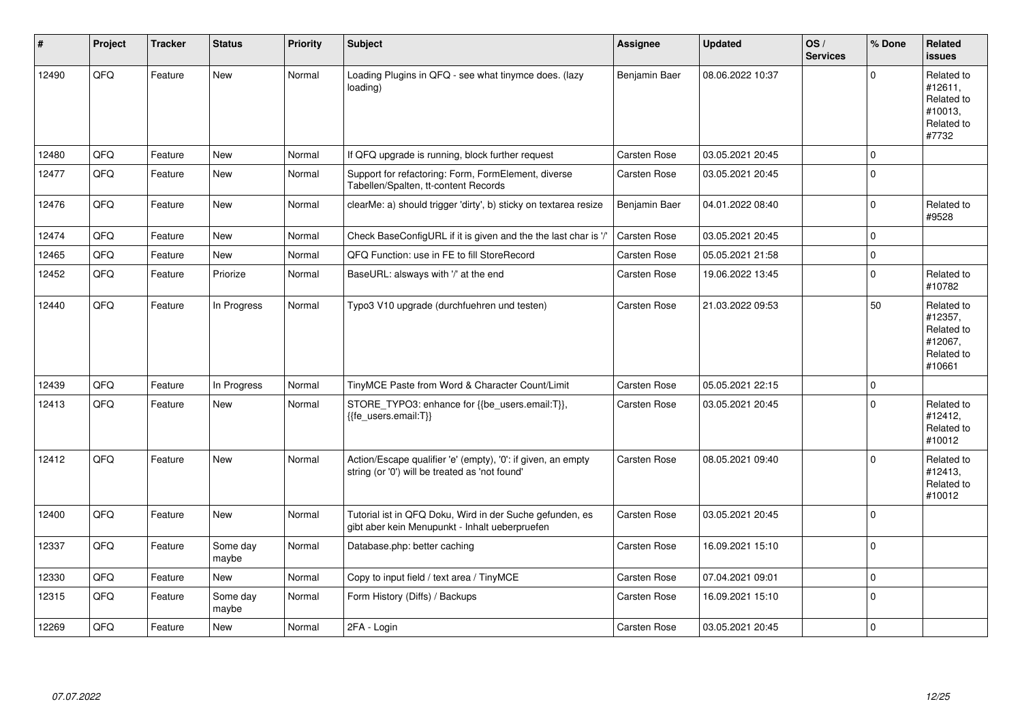| #     | Project | <b>Tracker</b> | <b>Status</b>     | <b>Priority</b> | Subject                                                                                                        | Assignee            | <b>Updated</b>   | OS/<br><b>Services</b> | % Done      | Related<br><b>issues</b>                                               |
|-------|---------|----------------|-------------------|-----------------|----------------------------------------------------------------------------------------------------------------|---------------------|------------------|------------------------|-------------|------------------------------------------------------------------------|
| 12490 | QFQ     | Feature        | <b>New</b>        | Normal          | Loading Plugins in QFQ - see what tinymce does. (lazy<br>loading)                                              | Benjamin Baer       | 08.06.2022 10:37 |                        | $\Omega$    | Related to<br>#12611,<br>Related to<br>#10013,<br>Related to<br>#7732  |
| 12480 | QFQ     | Feature        | New               | Normal          | If QFQ upgrade is running, block further request                                                               | Carsten Rose        | 03.05.2021 20:45 |                        | $\Omega$    |                                                                        |
| 12477 | QFQ     | Feature        | <b>New</b>        | Normal          | Support for refactoring: Form, FormElement, diverse<br>Tabellen/Spalten, tt-content Records                    | Carsten Rose        | 03.05.2021 20:45 |                        | $\Omega$    |                                                                        |
| 12476 | QFQ     | Feature        | New               | Normal          | clearMe: a) should trigger 'dirty', b) sticky on textarea resize                                               | Benjamin Baer       | 04.01.2022 08:40 |                        | $\Omega$    | Related to<br>#9528                                                    |
| 12474 | QFQ     | Feature        | <b>New</b>        | Normal          | Check BaseConfigURL if it is given and the the last char is '/'                                                | Carsten Rose        | 03.05.2021 20:45 |                        | $\Omega$    |                                                                        |
| 12465 | QFQ     | Feature        | <b>New</b>        | Normal          | QFQ Function: use in FE to fill StoreRecord                                                                    | Carsten Rose        | 05.05.2021 21:58 |                        | $\mathbf 0$ |                                                                        |
| 12452 | QFQ     | Feature        | Priorize          | Normal          | BaseURL: alsways with '/' at the end                                                                           | <b>Carsten Rose</b> | 19.06.2022 13:45 |                        | $\mathbf 0$ | Related to<br>#10782                                                   |
| 12440 | QFQ     | Feature        | In Progress       | Normal          | Typo3 V10 upgrade (durchfuehren und testen)                                                                    | Carsten Rose        | 21.03.2022 09:53 |                        | 50          | Related to<br>#12357,<br>Related to<br>#12067,<br>Related to<br>#10661 |
| 12439 | QFQ     | Feature        | In Progress       | Normal          | TinyMCE Paste from Word & Character Count/Limit                                                                | <b>Carsten Rose</b> | 05.05.2021 22:15 |                        | $\mathbf 0$ |                                                                        |
| 12413 | QFQ     | Feature        | <b>New</b>        | Normal          | STORE_TYPO3: enhance for {{be_users.email:T}},<br>{{fe_users.email:T}}                                         | Carsten Rose        | 03.05.2021 20:45 |                        | $\Omega$    | Related to<br>#12412,<br>Related to<br>#10012                          |
| 12412 | QFQ     | Feature        | <b>New</b>        | Normal          | Action/Escape qualifier 'e' (empty), '0': if given, an empty<br>string (or '0') will be treated as 'not found' | <b>Carsten Rose</b> | 08.05.2021 09:40 |                        | $\Omega$    | Related to<br>#12413,<br>Related to<br>#10012                          |
| 12400 | QFQ     | Feature        | <b>New</b>        | Normal          | Tutorial ist in QFQ Doku, Wird in der Suche gefunden, es<br>gibt aber kein Menupunkt - Inhalt ueberpruefen     | Carsten Rose        | 03.05.2021 20:45 |                        | $\mathbf 0$ |                                                                        |
| 12337 | QFQ     | Feature        | Some day<br>maybe | Normal          | Database.php: better caching                                                                                   | <b>Carsten Rose</b> | 16.09.2021 15:10 |                        | $\mathbf 0$ |                                                                        |
| 12330 | QFQ     | Feature        | <b>New</b>        | Normal          | Copy to input field / text area / TinyMCE                                                                      | <b>Carsten Rose</b> | 07.04.2021 09:01 |                        | $\mathbf 0$ |                                                                        |
| 12315 | QFQ     | Feature        | Some day<br>maybe | Normal          | Form History (Diffs) / Backups                                                                                 | <b>Carsten Rose</b> | 16.09.2021 15:10 |                        | $\mathbf 0$ |                                                                        |
| 12269 | QFQ     | Feature        | <b>New</b>        | Normal          | 2FA - Login                                                                                                    | <b>Carsten Rose</b> | 03.05.2021 20:45 |                        | $\mathbf 0$ |                                                                        |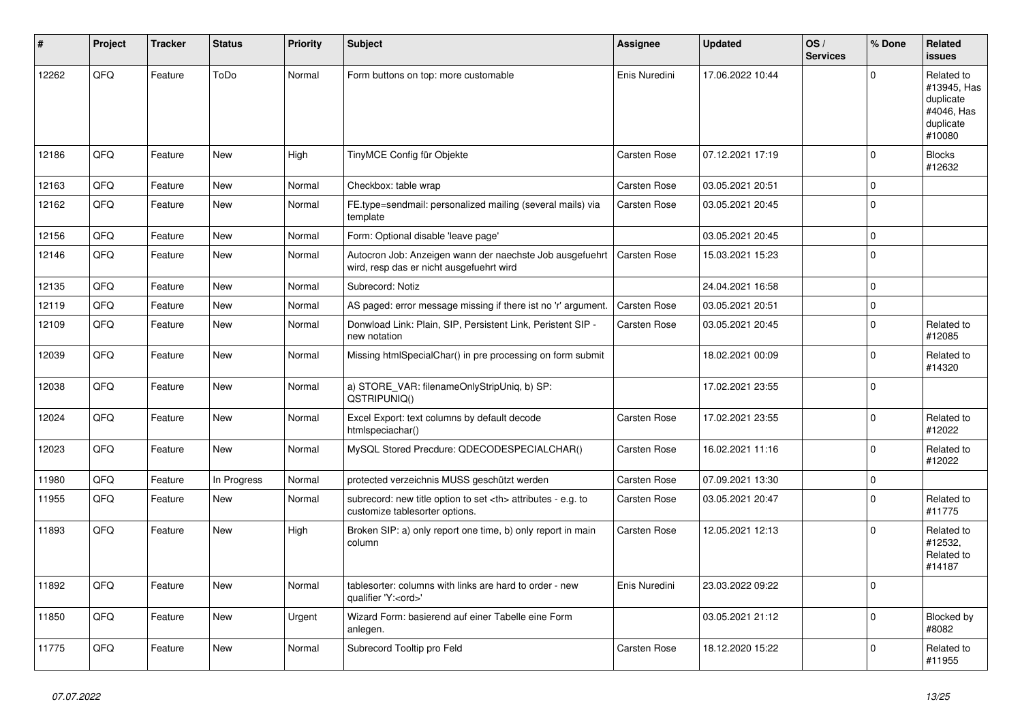| #     | Project | <b>Tracker</b> | <b>Status</b> | <b>Priority</b> | <b>Subject</b>                                                                                       | <b>Assignee</b>                                        | <b>Updated</b>      | OS/<br><b>Services</b> | % Done      | Related<br>issues                                                           |                      |
|-------|---------|----------------|---------------|-----------------|------------------------------------------------------------------------------------------------------|--------------------------------------------------------|---------------------|------------------------|-------------|-----------------------------------------------------------------------------|----------------------|
| 12262 | QFQ     | Feature        | ToDo          | Normal          | Form buttons on top: more customable                                                                 | Enis Nuredini                                          | 17.06.2022 10:44    |                        | $\Omega$    | Related to<br>#13945, Has<br>duplicate<br>#4046, Has<br>duplicate<br>#10080 |                      |
| 12186 | QFQ     | Feature        | <b>New</b>    | High            | TinyMCE Config für Objekte                                                                           | Carsten Rose                                           | 07.12.2021 17:19    |                        | $\Omega$    | <b>Blocks</b><br>#12632                                                     |                      |
| 12163 | QFQ     | Feature        | <b>New</b>    | Normal          | Checkbox: table wrap                                                                                 | Carsten Rose                                           | 03.05.2021 20:51    |                        | $\mathbf 0$ |                                                                             |                      |
| 12162 | QFQ     | Feature        | New           | Normal          | FE.type=sendmail: personalized mailing (several mails) via<br>template                               | Carsten Rose                                           | 03.05.2021 20:45    |                        | $\Omega$    |                                                                             |                      |
| 12156 | QFQ     | Feature        | <b>New</b>    | Normal          | Form: Optional disable 'leave page'                                                                  |                                                        | 03.05.2021 20:45    |                        | $\mathbf 0$ |                                                                             |                      |
| 12146 | QFQ     | Feature        | New           | Normal          | Autocron Job: Anzeigen wann der naechste Job ausgefuehrt<br>wird, resp das er nicht ausgefuehrt wird | Carsten Rose                                           | 15.03.2021 15:23    |                        | $\Omega$    |                                                                             |                      |
| 12135 | QFQ     | Feature        | <b>New</b>    | Normal          | Subrecord: Notiz                                                                                     |                                                        | 24.04.2021 16:58    |                        | $\Omega$    |                                                                             |                      |
| 12119 | QFQ     | Feature        | <b>New</b>    | Normal          | AS paged: error message missing if there ist no 'r' argument.                                        | <b>Carsten Rose</b>                                    | 03.05.2021 20:51    |                        | $\mathbf 0$ |                                                                             |                      |
| 12109 | QFQ     | Feature        | <b>New</b>    | Normal          | Donwload Link: Plain, SIP, Persistent Link, Peristent SIP -<br>new notation                          | <b>Carsten Rose</b>                                    | 03.05.2021 20:45    |                        | $\mathbf 0$ | Related to<br>#12085                                                        |                      |
| 12039 | QFQ     | Feature        | New           | Normal          | Missing htmlSpecialChar() in pre processing on form submit                                           |                                                        | 18.02.2021 00:09    |                        | $\mathbf 0$ | Related to<br>#14320                                                        |                      |
| 12038 | QFQ     | Feature        | <b>New</b>    | Normal          | a) STORE_VAR: filenameOnlyStripUniq, b) SP:<br>QSTRIPUNIQ()                                          |                                                        | 17.02.2021 23:55    |                        | $\Omega$    |                                                                             |                      |
| 12024 | QFQ     | Feature        | New           | Normal          | Excel Export: text columns by default decode<br>htmlspeciachar()                                     | <b>Carsten Rose</b>                                    | 17.02.2021 23:55    |                        | $\mathbf 0$ | Related to<br>#12022                                                        |                      |
| 12023 | QFQ     | Feature        | New           | Normal          | MySQL Stored Precdure: QDECODESPECIALCHAR()                                                          | Carsten Rose                                           | 16.02.2021 11:16    |                        | $\Omega$    | Related to<br>#12022                                                        |                      |
| 11980 | QFQ     | Feature        | In Progress   | Normal          | protected verzeichnis MUSS geschützt werden                                                          | <b>Carsten Rose</b>                                    | 07.09.2021 13:30    |                        | $\mathbf 0$ |                                                                             |                      |
| 11955 | QFQ     | Feature        | New           | Normal          | subrecord: new title option to set <th> attributes - e.g. to<br/>customize tablesorter options.</th> | attributes - e.g. to<br>customize tablesorter options. | <b>Carsten Rose</b> | 03.05.2021 20:47       |             | $\mathbf 0$                                                                 | Related to<br>#11775 |
| 11893 | QFQ     | Feature        | New           | High            | Broken SIP: a) only report one time, b) only report in main<br>column                                | <b>Carsten Rose</b>                                    | 12.05.2021 12:13    |                        | $\Omega$    | Related to<br>#12532.<br>Related to<br>#14187                               |                      |
| 11892 | QFQ     | Feature        | New           | Normal          | tablesorter: columns with links are hard to order - new<br>qualifier 'Y: <ord>'</ord>                | Enis Nuredini                                          | 23.03.2022 09:22    |                        | $\Omega$    |                                                                             |                      |
| 11850 | QFQ     | Feature        | <b>New</b>    | Urgent          | Wizard Form: basierend auf einer Tabelle eine Form<br>anlegen.                                       |                                                        | 03.05.2021 21:12    |                        | $\Omega$    | Blocked by<br>#8082                                                         |                      |
| 11775 | QFQ     | Feature        | <b>New</b>    | Normal          | Subrecord Tooltip pro Feld                                                                           | Carsten Rose                                           | 18.12.2020 15:22    |                        | $\mathbf 0$ | Related to<br>#11955                                                        |                      |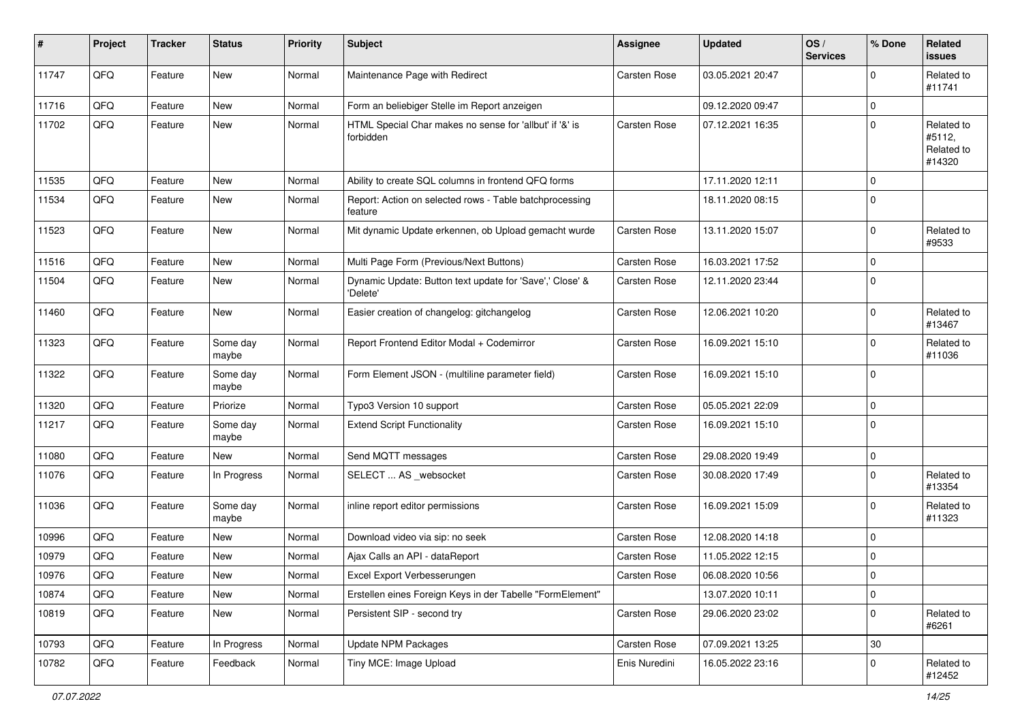| #     | Project | <b>Tracker</b> | <b>Status</b>     | <b>Priority</b> | <b>Subject</b>                                                       | <b>Assignee</b>     | <b>Updated</b>   | OS/<br><b>Services</b> | % Done      | <b>Related</b><br><b>issues</b>              |
|-------|---------|----------------|-------------------|-----------------|----------------------------------------------------------------------|---------------------|------------------|------------------------|-------------|----------------------------------------------|
| 11747 | QFQ     | Feature        | New               | Normal          | Maintenance Page with Redirect                                       | Carsten Rose        | 03.05.2021 20:47 |                        | $\Omega$    | Related to<br>#11741                         |
| 11716 | QFQ     | Feature        | New               | Normal          | Form an beliebiger Stelle im Report anzeigen                         |                     | 09.12.2020 09:47 |                        | $\mathbf 0$ |                                              |
| 11702 | QFQ     | Feature        | New               | Normal          | HTML Special Char makes no sense for 'allbut' if '&' is<br>forbidden | Carsten Rose        | 07.12.2021 16:35 |                        | $\mathbf 0$ | Related to<br>#5112,<br>Related to<br>#14320 |
| 11535 | QFQ     | Feature        | <b>New</b>        | Normal          | Ability to create SQL columns in frontend QFQ forms                  |                     | 17.11.2020 12:11 |                        | $\Omega$    |                                              |
| 11534 | QFQ     | Feature        | <b>New</b>        | Normal          | Report: Action on selected rows - Table batchprocessing<br>feature   |                     | 18.11.2020 08:15 |                        | $\mathbf 0$ |                                              |
| 11523 | QFQ     | Feature        | <b>New</b>        | Normal          | Mit dynamic Update erkennen, ob Upload gemacht wurde                 | Carsten Rose        | 13.11.2020 15:07 |                        | $\mathbf 0$ | Related to<br>#9533                          |
| 11516 | QFQ     | Feature        | New               | Normal          | Multi Page Form (Previous/Next Buttons)                              | <b>Carsten Rose</b> | 16.03.2021 17:52 |                        | $\Omega$    |                                              |
| 11504 | QFQ     | Feature        | New               | Normal          | Dynamic Update: Button text update for 'Save',' Close' &<br>'Delete' | Carsten Rose        | 12.11.2020 23:44 |                        | $\mathbf 0$ |                                              |
| 11460 | QFQ     | Feature        | <b>New</b>        | Normal          | Easier creation of changelog: gitchangelog                           | Carsten Rose        | 12.06.2021 10:20 |                        | $\Omega$    | Related to<br>#13467                         |
| 11323 | QFQ     | Feature        | Some day<br>maybe | Normal          | Report Frontend Editor Modal + Codemirror                            | Carsten Rose        | 16.09.2021 15:10 |                        | $\mathbf 0$ | Related to<br>#11036                         |
| 11322 | QFQ     | Feature        | Some day<br>maybe | Normal          | Form Element JSON - (multiline parameter field)                      | Carsten Rose        | 16.09.2021 15:10 |                        | $\mathbf 0$ |                                              |
| 11320 | QFQ     | Feature        | Priorize          | Normal          | Typo3 Version 10 support                                             | Carsten Rose        | 05.05.2021 22:09 |                        | $\mathbf 0$ |                                              |
| 11217 | QFQ     | Feature        | Some day<br>maybe | Normal          | <b>Extend Script Functionality</b>                                   | Carsten Rose        | 16.09.2021 15:10 |                        | $\mathbf 0$ |                                              |
| 11080 | QFQ     | Feature        | New               | Normal          | Send MQTT messages                                                   | Carsten Rose        | 29.08.2020 19:49 |                        | $\mathbf 0$ |                                              |
| 11076 | QFQ     | Feature        | In Progress       | Normal          | SELECT  AS _websocket                                                | Carsten Rose        | 30.08.2020 17:49 |                        | $\mathbf 0$ | Related to<br>#13354                         |
| 11036 | QFQ     | Feature        | Some day<br>maybe | Normal          | inline report editor permissions                                     | Carsten Rose        | 16.09.2021 15:09 |                        | $\mathbf 0$ | Related to<br>#11323                         |
| 10996 | QFQ     | Feature        | New               | Normal          | Download video via sip: no seek                                      | Carsten Rose        | 12.08.2020 14:18 |                        | $\Omega$    |                                              |
| 10979 | QFQ     | Feature        | New               | Normal          | Ajax Calls an API - dataReport                                       | <b>Carsten Rose</b> | 11.05.2022 12:15 |                        | $\mathbf 0$ |                                              |
| 10976 | QFQ     | Feature        | New               | Normal          | Excel Export Verbesserungen                                          | <b>Carsten Rose</b> | 06.08.2020 10:56 |                        | $\Omega$    |                                              |
| 10874 | QFQ     | Feature        | New               | Normal          | Erstellen eines Foreign Keys in der Tabelle "FormElement"            |                     | 13.07.2020 10:11 |                        | $\mathbf 0$ |                                              |
| 10819 | QFQ     | Feature        | New               | Normal          | Persistent SIP - second try                                          | Carsten Rose        | 29.06.2020 23:02 |                        | $\mathbf 0$ | Related to<br>#6261                          |
| 10793 | QFO     | Feature        | In Progress       | Normal          | <b>Update NPM Packages</b>                                           | Carsten Rose        | 07.09.2021 13:25 |                        | 30          |                                              |
| 10782 | QFQ     | Feature        | Feedback          | Normal          | Tiny MCE: Image Upload                                               | Enis Nuredini       | 16.05.2022 23:16 |                        | 0           | Related to<br>#12452                         |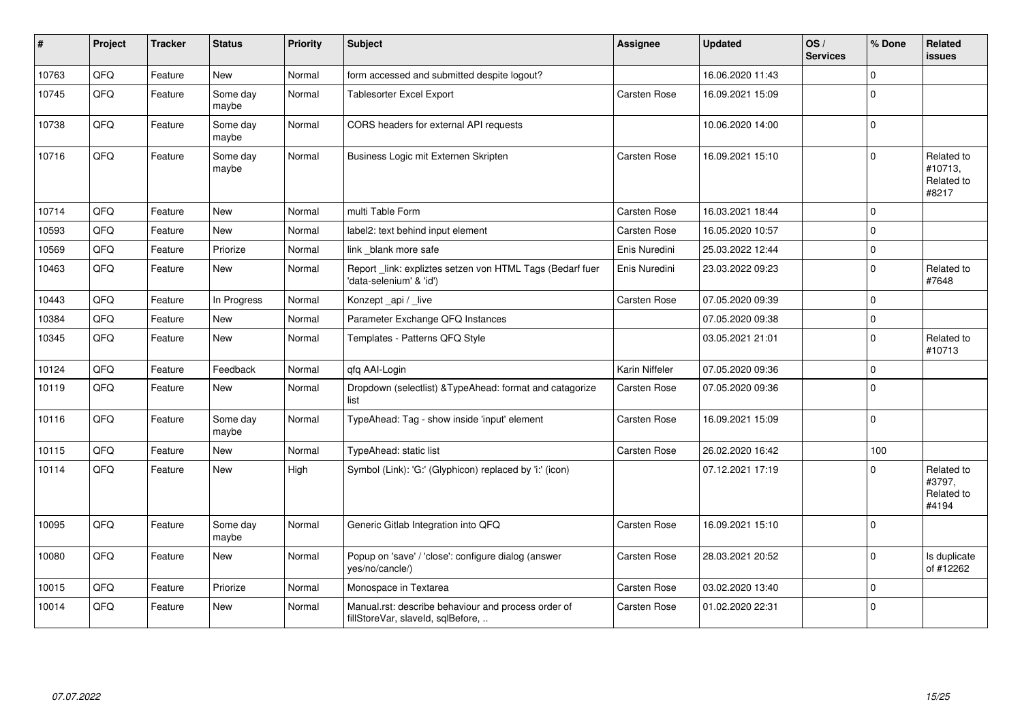| #     | Project | <b>Tracker</b> | <b>Status</b>     | <b>Priority</b> | <b>Subject</b>                                                                           | <b>Assignee</b>     | <b>Updated</b>   | OS/<br><b>Services</b> | % Done      | Related<br><b>issues</b>                     |
|-------|---------|----------------|-------------------|-----------------|------------------------------------------------------------------------------------------|---------------------|------------------|------------------------|-------------|----------------------------------------------|
| 10763 | QFQ     | Feature        | <b>New</b>        | Normal          | form accessed and submitted despite logout?                                              |                     | 16.06.2020 11:43 |                        | 0           |                                              |
| 10745 | QFQ     | Feature        | Some day<br>maybe | Normal          | Tablesorter Excel Export                                                                 | Carsten Rose        | 16.09.2021 15:09 |                        | $\Omega$    |                                              |
| 10738 | QFQ     | Feature        | Some day<br>maybe | Normal          | CORS headers for external API requests                                                   |                     | 10.06.2020 14:00 |                        | $\Omega$    |                                              |
| 10716 | QFQ     | Feature        | Some day<br>maybe | Normal          | Business Logic mit Externen Skripten                                                     | Carsten Rose        | 16.09.2021 15:10 |                        | $\Omega$    | Related to<br>#10713,<br>Related to<br>#8217 |
| 10714 | QFQ     | Feature        | <b>New</b>        | Normal          | multi Table Form                                                                         | Carsten Rose        | 16.03.2021 18:44 |                        | $\mathbf 0$ |                                              |
| 10593 | QFQ     | Feature        | <b>New</b>        | Normal          | label2: text behind input element                                                        | <b>Carsten Rose</b> | 16.05.2020 10:57 |                        | $\Omega$    |                                              |
| 10569 | QFQ     | Feature        | Priorize          | Normal          | link blank more safe                                                                     | Enis Nuredini       | 25.03.2022 12:44 |                        | $\Omega$    |                                              |
| 10463 | QFQ     | Feature        | <b>New</b>        | Normal          | Report_link: expliztes setzen von HTML Tags (Bedarf fuer<br>'data-selenium' & 'id')      | Enis Nuredini       | 23.03.2022 09:23 |                        | $\Omega$    | Related to<br>#7648                          |
| 10443 | QFQ     | Feature        | In Progress       | Normal          | Konzept_api / _live                                                                      | Carsten Rose        | 07.05.2020 09:39 |                        | $\Omega$    |                                              |
| 10384 | QFQ     | Feature        | <b>New</b>        | Normal          | Parameter Exchange QFQ Instances                                                         |                     | 07.05.2020 09:38 |                        | $\mathbf 0$ |                                              |
| 10345 | QFQ     | Feature        | New               | Normal          | Templates - Patterns QFQ Style                                                           |                     | 03.05.2021 21:01 |                        | $\Omega$    | Related to<br>#10713                         |
| 10124 | QFQ     | Feature        | Feedback          | Normal          | qfq AAI-Login                                                                            | Karin Niffeler      | 07.05.2020 09:36 |                        | $\Omega$    |                                              |
| 10119 | QFQ     | Feature        | New               | Normal          | Dropdown (selectlist) & TypeAhead: format and catagorize<br>list                         | Carsten Rose        | 07.05.2020 09:36 |                        | $\Omega$    |                                              |
| 10116 | QFQ     | Feature        | Some day<br>maybe | Normal          | TypeAhead: Tag - show inside 'input' element                                             | <b>Carsten Rose</b> | 16.09.2021 15:09 |                        | $\Omega$    |                                              |
| 10115 | QFQ     | Feature        | <b>New</b>        | Normal          | TypeAhead: static list                                                                   | Carsten Rose        | 26.02.2020 16:42 |                        | 100         |                                              |
| 10114 | QFQ     | Feature        | New               | High            | Symbol (Link): 'G:' (Glyphicon) replaced by 'i:' (icon)                                  |                     | 07.12.2021 17:19 |                        | ŋ           | Related to<br>#3797,<br>Related to<br>#4194  |
| 10095 | QFQ     | Feature        | Some day<br>maybe | Normal          | Generic Gitlab Integration into QFQ                                                      | Carsten Rose        | 16.09.2021 15:10 |                        | $\Omega$    |                                              |
| 10080 | QFQ     | Feature        | <b>New</b>        | Normal          | Popup on 'save' / 'close': configure dialog (answer<br>yes/no/cancle/)                   | Carsten Rose        | 28.03.2021 20:52 |                        | $\Omega$    | Is duplicate<br>of #12262                    |
| 10015 | QFQ     | Feature        | Priorize          | Normal          | Monospace in Textarea                                                                    | <b>Carsten Rose</b> | 03.02.2020 13:40 |                        | $\Omega$    |                                              |
| 10014 | QFQ     | Feature        | <b>New</b>        | Normal          | Manual.rst: describe behaviour and process order of<br>fillStoreVar, slaveId, sqlBefore, | Carsten Rose        | 01.02.2020 22:31 |                        | $\mathbf 0$ |                                              |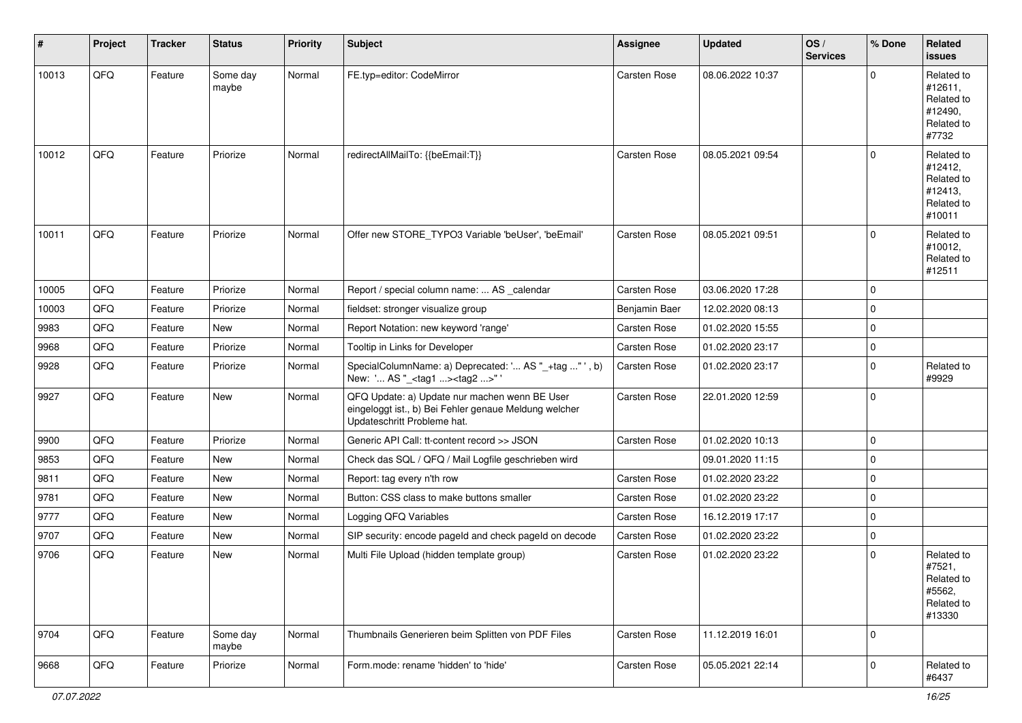| #     | Project | <b>Tracker</b> | <b>Status</b>     | <b>Priority</b> | <b>Subject</b>                                                                                                                        | Assignee            | <b>Updated</b>   | OS/<br><b>Services</b> | % Done      | Related<br><b>issues</b>                                               |
|-------|---------|----------------|-------------------|-----------------|---------------------------------------------------------------------------------------------------------------------------------------|---------------------|------------------|------------------------|-------------|------------------------------------------------------------------------|
| 10013 | QFQ     | Feature        | Some day<br>maybe | Normal          | FE.typ=editor: CodeMirror                                                                                                             | Carsten Rose        | 08.06.2022 10:37 |                        | $\Omega$    | Related to<br>#12611,<br>Related to<br>#12490,<br>Related to<br>#7732  |
| 10012 | QFQ     | Feature        | Priorize          | Normal          | redirectAllMailTo: {{beEmail:T}}                                                                                                      | Carsten Rose        | 08.05.2021 09:54 |                        | $\Omega$    | Related to<br>#12412,<br>Related to<br>#12413,<br>Related to<br>#10011 |
| 10011 | QFQ     | Feature        | Priorize          | Normal          | Offer new STORE_TYPO3 Variable 'beUser', 'beEmail'                                                                                    | Carsten Rose        | 08.05.2021 09:51 |                        | $\Omega$    | Related to<br>#10012,<br>Related to<br>#12511                          |
| 10005 | QFQ     | Feature        | Priorize          | Normal          | Report / special column name:  AS _calendar                                                                                           | Carsten Rose        | 03.06.2020 17:28 |                        | $\mathbf 0$ |                                                                        |
| 10003 | QFQ     | Feature        | Priorize          | Normal          | fieldset: stronger visualize group                                                                                                    | Benjamin Baer       | 12.02.2020 08:13 |                        | $\Omega$    |                                                                        |
| 9983  | QFQ     | Feature        | New               | Normal          | Report Notation: new keyword 'range'                                                                                                  | Carsten Rose        | 01.02.2020 15:55 |                        | $\mathbf 0$ |                                                                        |
| 9968  | QFQ     | Feature        | Priorize          | Normal          | Tooltip in Links for Developer                                                                                                        | Carsten Rose        | 01.02.2020 23:17 |                        | $\Omega$    |                                                                        |
| 9928  | QFQ     | Feature        | Priorize          | Normal          | SpecialColumnName: a) Deprecated: ' AS "_+tag " ', b)<br>New: ' AS "_ <tag1><tag2>" '</tag2></tag1>                                   | <b>Carsten Rose</b> | 01.02.2020 23:17 |                        | $\Omega$    | Related to<br>#9929                                                    |
| 9927  | QFQ     | Feature        | New               | Normal          | QFQ Update: a) Update nur machen wenn BE User<br>eingeloggt ist., b) Bei Fehler genaue Meldung welcher<br>Updateschritt Probleme hat. | Carsten Rose        | 22.01.2020 12:59 |                        | $\mathbf 0$ |                                                                        |
| 9900  | QFQ     | Feature        | Priorize          | Normal          | Generic API Call: tt-content record >> JSON                                                                                           | Carsten Rose        | 01.02.2020 10:13 |                        | 0           |                                                                        |
| 9853  | QFQ     | Feature        | New               | Normal          | Check das SQL / QFQ / Mail Logfile geschrieben wird                                                                                   |                     | 09.01.2020 11:15 |                        | $\mathbf 0$ |                                                                        |
| 9811  | QFQ     | Feature        | New               | Normal          | Report: tag every n'th row                                                                                                            | Carsten Rose        | 01.02.2020 23:22 |                        | $\mathbf 0$ |                                                                        |
| 9781  | QFQ     | Feature        | <b>New</b>        | Normal          | Button: CSS class to make buttons smaller                                                                                             | <b>Carsten Rose</b> | 01.02.2020 23:22 |                        | $\mathbf 0$ |                                                                        |
| 9777  | QFQ     | Feature        | New               | Normal          | Logging QFQ Variables                                                                                                                 | Carsten Rose        | 16.12.2019 17:17 |                        | 0           |                                                                        |
| 9707  | QFQ     | Feature        | <b>New</b>        | Normal          | SIP security: encode pageld and check pageld on decode                                                                                | Carsten Rose        | 01.02.2020 23:22 |                        | $\mathbf 0$ |                                                                        |
| 9706  | QFQ     | Feature        | <b>New</b>        | Normal          | Multi File Upload (hidden template group)                                                                                             | Carsten Rose        | 01.02.2020 23:22 |                        | $\Omega$    | Related to<br>#7521,<br>Related to<br>#5562,<br>Related to<br>#13330   |
| 9704  | QFQ     | Feature        | Some day<br>maybe | Normal          | Thumbnails Generieren beim Splitten von PDF Files                                                                                     | Carsten Rose        | 11.12.2019 16:01 |                        | $\mathbf 0$ |                                                                        |
| 9668  | QFQ     | Feature        | Priorize          | Normal          | Form.mode: rename 'hidden' to 'hide'                                                                                                  | Carsten Rose        | 05.05.2021 22:14 |                        | $\mathbf 0$ | Related to<br>#6437                                                    |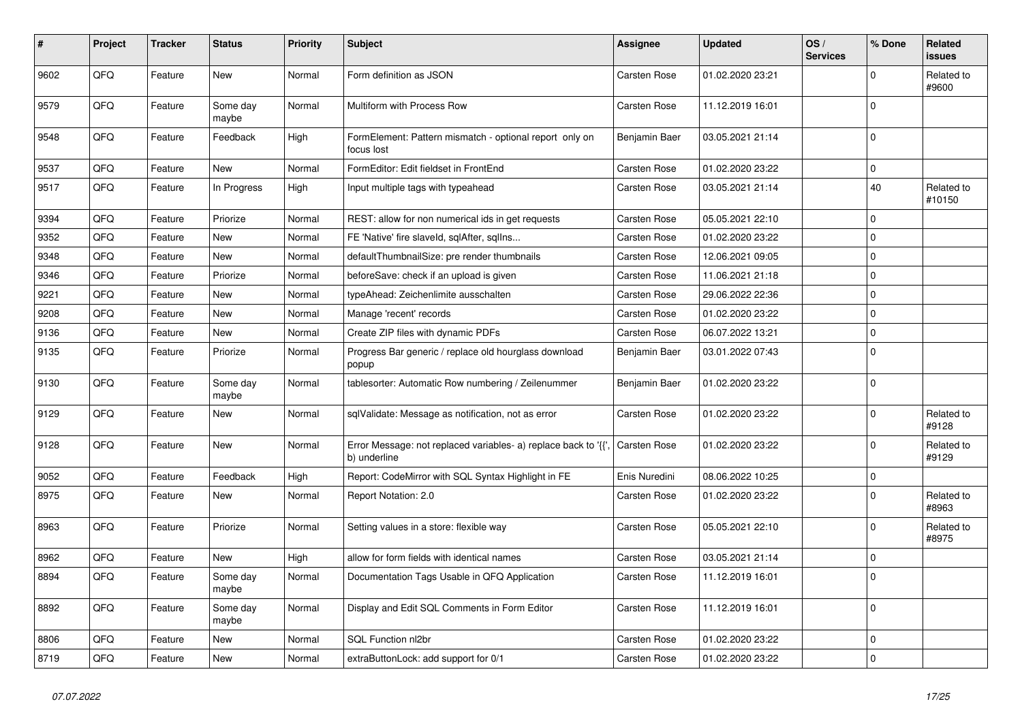| #    | <b>Project</b> | <b>Tracker</b> | <b>Status</b>     | <b>Priority</b> | <b>Subject</b>                                                                 | <b>Assignee</b>     | <b>Updated</b>   | OS/<br><b>Services</b> | % Done      | Related<br><b>issues</b> |
|------|----------------|----------------|-------------------|-----------------|--------------------------------------------------------------------------------|---------------------|------------------|------------------------|-------------|--------------------------|
| 9602 | QFQ            | Feature        | New               | Normal          | Form definition as JSON                                                        | Carsten Rose        | 01.02.2020 23:21 |                        | $\Omega$    | Related to<br>#9600      |
| 9579 | QFQ            | Feature        | Some day<br>maybe | Normal          | Multiform with Process Row                                                     | <b>Carsten Rose</b> | 11.12.2019 16:01 |                        | $\mathbf 0$ |                          |
| 9548 | QFQ            | Feature        | Feedback          | High            | FormElement: Pattern mismatch - optional report only on<br>focus lost          | Benjamin Baer       | 03.05.2021 21:14 |                        | $\Omega$    |                          |
| 9537 | QFQ            | Feature        | <b>New</b>        | Normal          | FormEditor: Edit fieldset in FrontEnd                                          | <b>Carsten Rose</b> | 01.02.2020 23:22 |                        | $\Omega$    |                          |
| 9517 | QFQ            | Feature        | In Progress       | High            | Input multiple tags with typeahead                                             | <b>Carsten Rose</b> | 03.05.2021 21:14 |                        | 40          | Related to<br>#10150     |
| 9394 | QFQ            | Feature        | Priorize          | Normal          | REST: allow for non numerical ids in get requests                              | <b>Carsten Rose</b> | 05.05.2021 22:10 |                        | $\mathbf 0$ |                          |
| 9352 | QFQ            | Feature        | New               | Normal          | FE 'Native' fire slaveld, sqlAfter, sqllns                                     | <b>Carsten Rose</b> | 01.02.2020 23:22 |                        | $\mathbf 0$ |                          |
| 9348 | QFQ            | Feature        | New               | Normal          | defaultThumbnailSize: pre render thumbnails                                    | Carsten Rose        | 12.06.2021 09:05 |                        | $\mathbf 0$ |                          |
| 9346 | QFQ            | Feature        | Priorize          | Normal          | beforeSave: check if an upload is given                                        | <b>Carsten Rose</b> | 11.06.2021 21:18 |                        | $\Omega$    |                          |
| 9221 | QFQ            | Feature        | New               | Normal          | typeAhead: Zeichenlimite ausschalten                                           | <b>Carsten Rose</b> | 29.06.2022 22:36 |                        | $\mathbf 0$ |                          |
| 9208 | QFQ            | Feature        | New               | Normal          | Manage 'recent' records                                                        | <b>Carsten Rose</b> | 01.02.2020 23:22 |                        | $\mathbf 0$ |                          |
| 9136 | QFQ            | Feature        | New               | Normal          | Create ZIP files with dynamic PDFs                                             | Carsten Rose        | 06.07.2022 13:21 |                        | $\mathbf 0$ |                          |
| 9135 | QFQ            | Feature        | Priorize          | Normal          | Progress Bar generic / replace old hourglass download<br>popup                 | Benjamin Baer       | 03.01.2022 07:43 |                        | $\mathbf 0$ |                          |
| 9130 | QFQ            | Feature        | Some day<br>maybe | Normal          | tablesorter: Automatic Row numbering / Zeilenummer                             | Benjamin Baer       | 01.02.2020 23:22 |                        | $\Omega$    |                          |
| 9129 | QFQ            | Feature        | New               | Normal          | sqlValidate: Message as notification, not as error                             | Carsten Rose        | 01.02.2020 23:22 |                        | $\Omega$    | Related to<br>#9128      |
| 9128 | QFQ            | Feature        | New               | Normal          | Error Message: not replaced variables- a) replace back to '{',<br>b) underline | Carsten Rose        | 01.02.2020 23:22 |                        | $\mathbf 0$ | Related to<br>#9129      |
| 9052 | QFQ            | Feature        | Feedback          | High            | Report: CodeMirror with SQL Syntax Highlight in FE                             | Enis Nuredini       | 08.06.2022 10:25 |                        | $\mathbf 0$ |                          |
| 8975 | QFQ            | Feature        | <b>New</b>        | Normal          | Report Notation: 2.0                                                           | Carsten Rose        | 01.02.2020 23:22 |                        | $\mathbf 0$ | Related to<br>#8963      |
| 8963 | QFQ            | Feature        | Priorize          | Normal          | Setting values in a store: flexible way                                        | <b>Carsten Rose</b> | 05.05.2021 22:10 |                        | $\Omega$    | Related to<br>#8975      |
| 8962 | QFQ            | Feature        | New               | High            | allow for form fields with identical names                                     | Carsten Rose        | 03.05.2021 21:14 |                        | $\mathbf 0$ |                          |
| 8894 | QFQ            | Feature        | Some day<br>maybe | Normal          | Documentation Tags Usable in QFQ Application                                   | Carsten Rose        | 11.12.2019 16:01 |                        | $\Omega$    |                          |
| 8892 | QFQ            | Feature        | Some day<br>maybe | Normal          | Display and Edit SQL Comments in Form Editor                                   | <b>Carsten Rose</b> | 11.12.2019 16:01 |                        | $\mathbf 0$ |                          |
| 8806 | QFQ            | Feature        | New               | Normal          | SQL Function nl2br                                                             | Carsten Rose        | 01.02.2020 23:22 |                        | $\mathbf 0$ |                          |
| 8719 | QFQ            | Feature        | New               | Normal          | extraButtonLock: add support for 0/1                                           | Carsten Rose        | 01.02.2020 23:22 |                        | $\Omega$    |                          |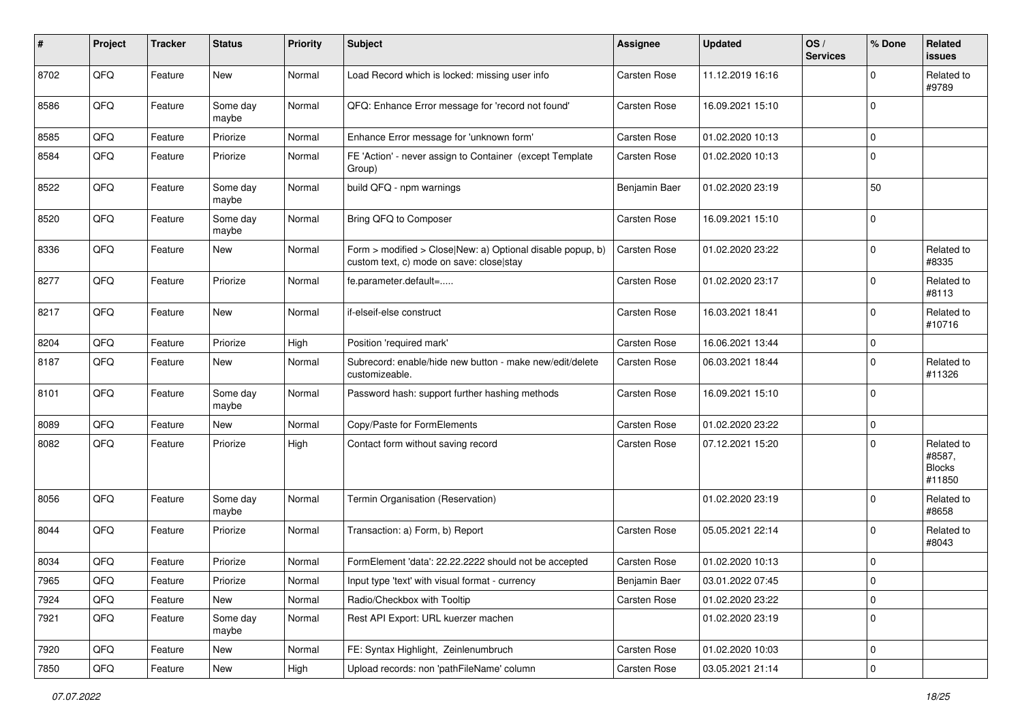| #    | Project | <b>Tracker</b> | <b>Status</b>     | <b>Priority</b> | <b>Subject</b>                                                                                         | Assignee            | <b>Updated</b>   | OS/<br><b>Services</b> | % Done       | Related<br><b>issues</b>                        |
|------|---------|----------------|-------------------|-----------------|--------------------------------------------------------------------------------------------------------|---------------------|------------------|------------------------|--------------|-------------------------------------------------|
| 8702 | QFQ     | Feature        | New               | Normal          | Load Record which is locked: missing user info                                                         | Carsten Rose        | 11.12.2019 16:16 |                        | $\Omega$     | Related to<br>#9789                             |
| 8586 | QFQ     | Feature        | Some day<br>maybe | Normal          | QFQ: Enhance Error message for 'record not found'                                                      | Carsten Rose        | 16.09.2021 15:10 |                        | $\mathbf 0$  |                                                 |
| 8585 | QFQ     | Feature        | Priorize          | Normal          | Enhance Error message for 'unknown form'                                                               | <b>Carsten Rose</b> | 01.02.2020 10:13 |                        | $\Omega$     |                                                 |
| 8584 | QFQ     | Feature        | Priorize          | Normal          | FE 'Action' - never assign to Container (except Template<br>Group)                                     | Carsten Rose        | 01.02.2020 10:13 |                        | $\Omega$     |                                                 |
| 8522 | QFQ     | Feature        | Some day<br>maybe | Normal          | build QFQ - npm warnings                                                                               | Benjamin Baer       | 01.02.2020 23:19 |                        | 50           |                                                 |
| 8520 | QFQ     | Feature        | Some day<br>maybe | Normal          | Bring QFQ to Composer                                                                                  | Carsten Rose        | 16.09.2021 15:10 |                        | $\mathbf 0$  |                                                 |
| 8336 | QFQ     | Feature        | New               | Normal          | Form > modified > Close New: a) Optional disable popup, b)<br>custom text, c) mode on save: close stay | <b>Carsten Rose</b> | 01.02.2020 23:22 |                        | $\mathbf 0$  | Related to<br>#8335                             |
| 8277 | QFQ     | Feature        | Priorize          | Normal          | fe.parameter.default=                                                                                  | Carsten Rose        | 01.02.2020 23:17 |                        | $\mathbf 0$  | Related to<br>#8113                             |
| 8217 | QFQ     | Feature        | New               | Normal          | if-elseif-else construct                                                                               | <b>Carsten Rose</b> | 16.03.2021 18:41 |                        | $\mathbf 0$  | Related to<br>#10716                            |
| 8204 | QFQ     | Feature        | Priorize          | High            | Position 'required mark'                                                                               | <b>Carsten Rose</b> | 16.06.2021 13:44 |                        | $\mathbf 0$  |                                                 |
| 8187 | QFQ     | Feature        | New               | Normal          | Subrecord: enable/hide new button - make new/edit/delete<br>customizeable.                             | Carsten Rose        | 06.03.2021 18:44 |                        | $\Omega$     | Related to<br>#11326                            |
| 8101 | QFQ     | Feature        | Some day<br>maybe | Normal          | Password hash: support further hashing methods                                                         | Carsten Rose        | 16.09.2021 15:10 |                        | $\mathbf 0$  |                                                 |
| 8089 | QFQ     | Feature        | New               | Normal          | Copy/Paste for FormElements                                                                            | <b>Carsten Rose</b> | 01.02.2020 23:22 |                        | $\mathbf 0$  |                                                 |
| 8082 | QFQ     | Feature        | Priorize          | High            | Contact form without saving record                                                                     | Carsten Rose        | 07.12.2021 15:20 |                        | $\Omega$     | Related to<br>#8587,<br><b>Blocks</b><br>#11850 |
| 8056 | QFQ     | Feature        | Some day<br>maybe | Normal          | Termin Organisation (Reservation)                                                                      |                     | 01.02.2020 23:19 |                        | $\mathbf 0$  | Related to<br>#8658                             |
| 8044 | QFQ     | Feature        | Priorize          | Normal          | Transaction: a) Form, b) Report                                                                        | <b>Carsten Rose</b> | 05.05.2021 22:14 |                        | 0            | Related to<br>#8043                             |
| 8034 | QFQ     | Feature        | Priorize          | Normal          | FormElement 'data': 22.22.2222 should not be accepted                                                  | Carsten Rose        | 01.02.2020 10:13 |                        | $\mathbf 0$  |                                                 |
| 7965 | QFQ     | Feature        | Priorize          | Normal          | Input type 'text' with visual format - currency                                                        | Benjamin Baer       | 03.01.2022 07:45 |                        | $\mathsf{U}$ |                                                 |
| 7924 | QFQ     | Feature        | New               | Normal          | Radio/Checkbox with Tooltip                                                                            | Carsten Rose        | 01.02.2020 23:22 |                        | $\mathbf 0$  |                                                 |
| 7921 | QFQ     | Feature        | Some day<br>maybe | Normal          | Rest API Export: URL kuerzer machen                                                                    |                     | 01.02.2020 23:19 |                        | $\mathbf 0$  |                                                 |
| 7920 | QFQ     | Feature        | New               | Normal          | FE: Syntax Highlight, Zeinlenumbruch                                                                   | Carsten Rose        | 01.02.2020 10:03 |                        | $\mathbf 0$  |                                                 |
| 7850 | QFQ     | Feature        | New               | High            | Upload records: non 'pathFileName' column                                                              | Carsten Rose        | 03.05.2021 21:14 |                        | $\pmb{0}$    |                                                 |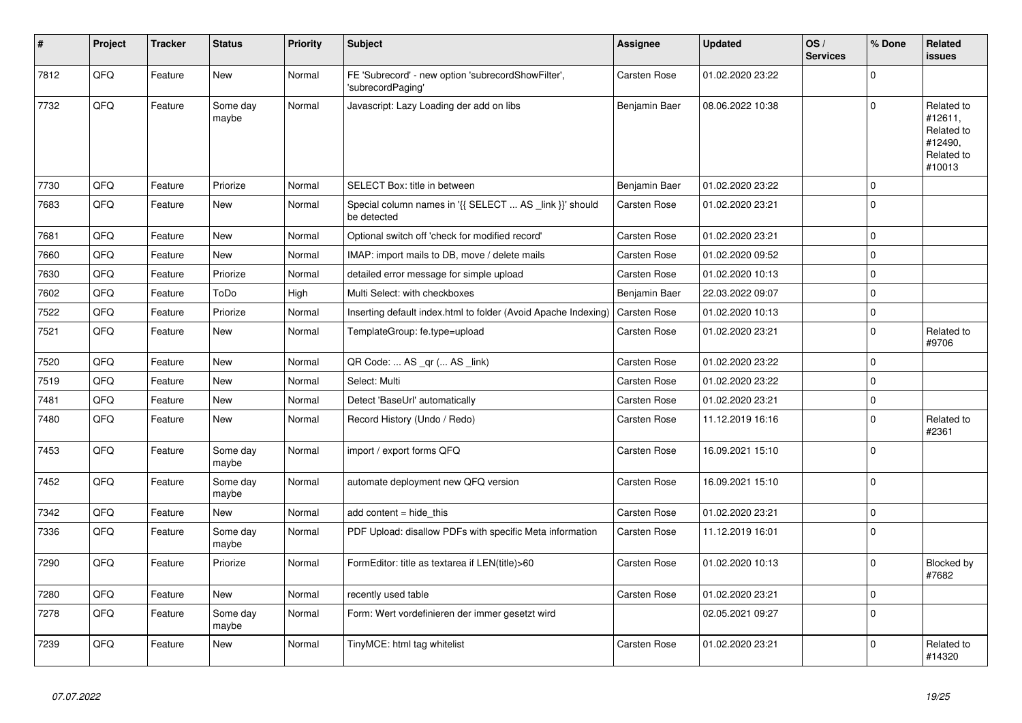| ∦    | Project | <b>Tracker</b> | <b>Status</b>     | <b>Priority</b> | <b>Subject</b>                                                          | <b>Assignee</b>     | <b>Updated</b>   | OS/<br><b>Services</b> | % Done      | <b>Related</b><br><b>issues</b>                                        |
|------|---------|----------------|-------------------|-----------------|-------------------------------------------------------------------------|---------------------|------------------|------------------------|-------------|------------------------------------------------------------------------|
| 7812 | QFQ     | Feature        | <b>New</b>        | Normal          | FE 'Subrecord' - new option 'subrecordShowFilter',<br>'subrecordPaging' | Carsten Rose        | 01.02.2020 23:22 |                        | $\Omega$    |                                                                        |
| 7732 | QFQ     | Feature        | Some day<br>maybe | Normal          | Javascript: Lazy Loading der add on libs                                | Benjamin Baer       | 08.06.2022 10:38 |                        | $\mathbf 0$ | Related to<br>#12611,<br>Related to<br>#12490,<br>Related to<br>#10013 |
| 7730 | QFQ     | Feature        | Priorize          | Normal          | SELECT Box: title in between                                            | Benjamin Baer       | 01.02.2020 23:22 |                        | $\mathbf 0$ |                                                                        |
| 7683 | QFQ     | Feature        | New               | Normal          | Special column names in '{{ SELECT  AS _link }}' should<br>be detected  | Carsten Rose        | 01.02.2020 23:21 |                        | $\Omega$    |                                                                        |
| 7681 | QFQ     | Feature        | <b>New</b>        | Normal          | Optional switch off 'check for modified record'                         | Carsten Rose        | 01.02.2020 23:21 |                        | $\mathbf 0$ |                                                                        |
| 7660 | QFQ     | Feature        | New               | Normal          | IMAP: import mails to DB, move / delete mails                           | Carsten Rose        | 01.02.2020 09:52 |                        | $\mathbf 0$ |                                                                        |
| 7630 | QFQ     | Feature        | Priorize          | Normal          | detailed error message for simple upload                                | Carsten Rose        | 01.02.2020 10:13 |                        | $\mathbf 0$ |                                                                        |
| 7602 | QFQ     | Feature        | ToDo              | High            | Multi Select: with checkboxes                                           | Benjamin Baer       | 22.03.2022 09:07 |                        | $\Omega$    |                                                                        |
| 7522 | QFQ     | Feature        | Priorize          | Normal          | Inserting default index.html to folder (Avoid Apache Indexing)          | Carsten Rose        | 01.02.2020 10:13 |                        | $\mathbf 0$ |                                                                        |
| 7521 | QFQ     | Feature        | New               | Normal          | TemplateGroup: fe.type=upload                                           | Carsten Rose        | 01.02.2020 23:21 |                        | $\Omega$    | Related to<br>#9706                                                    |
| 7520 | QFQ     | Feature        | New               | Normal          | QR Code:  AS _qr ( AS _link)                                            | Carsten Rose        | 01.02.2020 23:22 |                        | $\mathbf 0$ |                                                                        |
| 7519 | QFQ     | Feature        | <b>New</b>        | Normal          | Select: Multi                                                           | Carsten Rose        | 01.02.2020 23:22 |                        | $\mathbf 0$ |                                                                        |
| 7481 | QFQ     | Feature        | New               | Normal          | Detect 'BaseUrl' automatically                                          | Carsten Rose        | 01.02.2020 23:21 |                        | $\mathbf 0$ |                                                                        |
| 7480 | QFQ     | Feature        | <b>New</b>        | Normal          | Record History (Undo / Redo)                                            | <b>Carsten Rose</b> | 11.12.2019 16:16 |                        | $\Omega$    | Related to<br>#2361                                                    |
| 7453 | QFQ     | Feature        | Some day<br>maybe | Normal          | import / export forms QFQ                                               | Carsten Rose        | 16.09.2021 15:10 |                        | $\mathbf 0$ |                                                                        |
| 7452 | QFQ     | Feature        | Some day<br>maybe | Normal          | automate deployment new QFQ version                                     | Carsten Rose        | 16.09.2021 15:10 |                        | $\Omega$    |                                                                        |
| 7342 | QFQ     | Feature        | <b>New</b>        | Normal          | add content = hide this                                                 | <b>Carsten Rose</b> | 01.02.2020 23:21 |                        | $\mathbf 0$ |                                                                        |
| 7336 | QFQ     | Feature        | Some day<br>maybe | Normal          | PDF Upload: disallow PDFs with specific Meta information                | Carsten Rose        | 11.12.2019 16:01 |                        | $\mathbf 0$ |                                                                        |
| 7290 | QFQ     | Feature        | Priorize          | Normal          | FormEditor: title as textarea if LEN(title)>60                          | Carsten Rose        | 01.02.2020 10:13 |                        | $\mathbf 0$ | Blocked by<br>#7682                                                    |
| 7280 | QFQ     | Feature        | <b>New</b>        | Normal          | recently used table                                                     | Carsten Rose        | 01.02.2020 23:21 |                        | $\mathbf 0$ |                                                                        |
| 7278 | QFQ     | Feature        | Some day<br>maybe | Normal          | Form: Wert vordefinieren der immer gesetzt wird                         |                     | 02.05.2021 09:27 |                        | $\Omega$    |                                                                        |
| 7239 | QFQ     | Feature        | <b>New</b>        | Normal          | TinyMCE: html tag whitelist                                             | Carsten Rose        | 01.02.2020 23:21 |                        | $\Omega$    | Related to<br>#14320                                                   |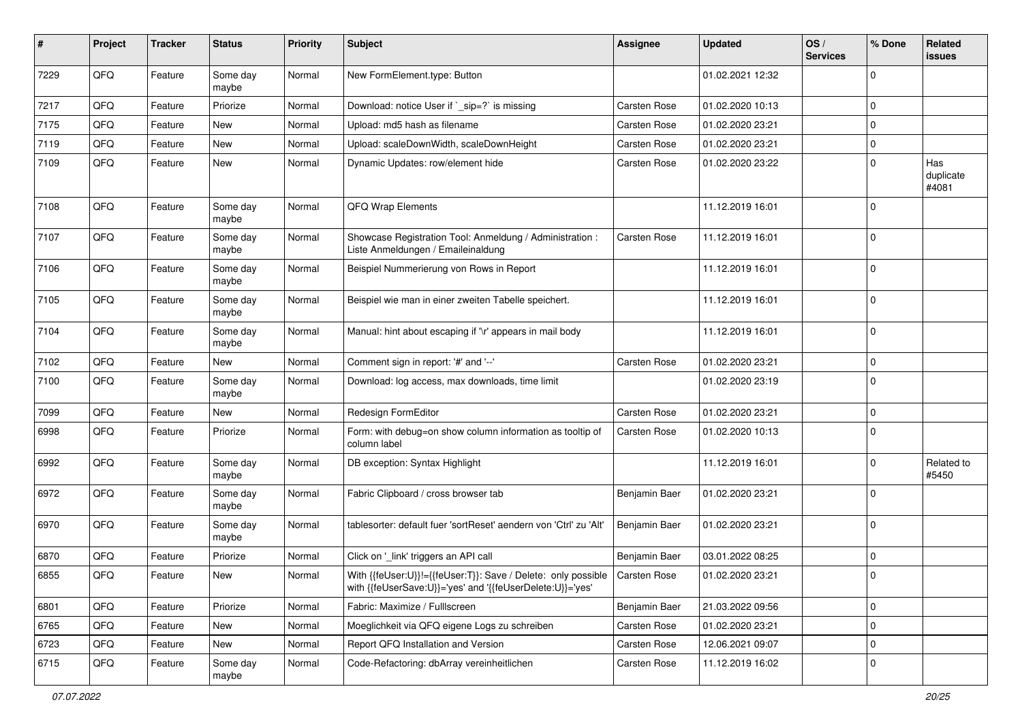| ∦    | Project | <b>Tracker</b> | <b>Status</b>     | <b>Priority</b> | <b>Subject</b>                                                                                                             | <b>Assignee</b>     | <b>Updated</b>   | OS/<br><b>Services</b> | % Done         | Related<br><b>issues</b>  |
|------|---------|----------------|-------------------|-----------------|----------------------------------------------------------------------------------------------------------------------------|---------------------|------------------|------------------------|----------------|---------------------------|
| 7229 | QFQ     | Feature        | Some day<br>maybe | Normal          | New FormElement.type: Button                                                                                               |                     | 01.02.2021 12:32 |                        | $\mathbf 0$    |                           |
| 7217 | QFQ     | Feature        | Priorize          | Normal          | Download: notice User if `_sip=?` is missing                                                                               | <b>Carsten Rose</b> | 01.02.2020 10:13 |                        | $\mathbf 0$    |                           |
| 7175 | QFQ     | Feature        | New               | Normal          | Upload: md5 hash as filename                                                                                               | Carsten Rose        | 01.02.2020 23:21 |                        | $\mathbf 0$    |                           |
| 7119 | QFQ     | Feature        | New               | Normal          | Upload: scaleDownWidth, scaleDownHeight                                                                                    | Carsten Rose        | 01.02.2020 23:21 |                        | $\mathbf 0$    |                           |
| 7109 | QFQ     | Feature        | New               | Normal          | Dynamic Updates: row/element hide                                                                                          | <b>Carsten Rose</b> | 01.02.2020 23:22 |                        | $\mathbf 0$    | Has<br>duplicate<br>#4081 |
| 7108 | QFQ     | Feature        | Some day<br>maybe | Normal          | QFQ Wrap Elements                                                                                                          |                     | 11.12.2019 16:01 |                        | $\mathbf 0$    |                           |
| 7107 | QFQ     | Feature        | Some day<br>maybe | Normal          | Showcase Registration Tool: Anmeldung / Administration :<br>Liste Anmeldungen / Emaileinaldung                             | <b>Carsten Rose</b> | 11.12.2019 16:01 |                        | $\overline{0}$ |                           |
| 7106 | QFQ     | Feature        | Some day<br>maybe | Normal          | Beispiel Nummerierung von Rows in Report                                                                                   |                     | 11.12.2019 16:01 |                        | $\mathbf 0$    |                           |
| 7105 | QFQ     | Feature        | Some day<br>maybe | Normal          | Beispiel wie man in einer zweiten Tabelle speichert.                                                                       |                     | 11.12.2019 16:01 |                        | $\overline{0}$ |                           |
| 7104 | QFQ     | Feature        | Some day<br>maybe | Normal          | Manual: hint about escaping if '\r' appears in mail body                                                                   |                     | 11.12.2019 16:01 |                        | $\overline{0}$ |                           |
| 7102 | QFQ     | Feature        | New               | Normal          | Comment sign in report: '#' and '--'                                                                                       | Carsten Rose        | 01.02.2020 23:21 |                        | $\mathbf 0$    |                           |
| 7100 | QFQ     | Feature        | Some day<br>maybe | Normal          | Download: log access, max downloads, time limit                                                                            |                     | 01.02.2020 23:19 |                        | $\mathbf 0$    |                           |
| 7099 | QFQ     | Feature        | New               | Normal          | Redesign FormEditor                                                                                                        | Carsten Rose        | 01.02.2020 23:21 |                        | $\mathbf 0$    |                           |
| 6998 | QFQ     | Feature        | Priorize          | Normal          | Form: with debug=on show column information as tooltip of<br>column label                                                  | Carsten Rose        | 01.02.2020 10:13 |                        | $\mathbf 0$    |                           |
| 6992 | QFQ     | Feature        | Some day<br>maybe | Normal          | DB exception: Syntax Highlight                                                                                             |                     | 11.12.2019 16:01 |                        | $\overline{0}$ | Related to<br>#5450       |
| 6972 | QFQ     | Feature        | Some day<br>maybe | Normal          | Fabric Clipboard / cross browser tab                                                                                       | Benjamin Baer       | 01.02.2020 23:21 |                        | $\mathbf 0$    |                           |
| 6970 | QFQ     | Feature        | Some day<br>maybe | Normal          | tablesorter: default fuer 'sortReset' aendern von 'Ctrl' zu 'Alt'                                                          | Benjamin Baer       | 01.02.2020 23:21 |                        | $\overline{0}$ |                           |
| 6870 | QFQ     | Feature        | Priorize          | Normal          | Click on '_link' triggers an API call                                                                                      | Benjamin Baer       | 03.01.2022 08:25 |                        | $\overline{0}$ |                           |
| 6855 | QFQ     | Feature        | New               | Normal          | With {{feUser:U}}!={{feUser:T}}: Save / Delete: only possible<br>with {{feUserSave:U}}='yes' and '{{feUserDelete:U}}='yes' | <b>Carsten Rose</b> | 01.02.2020 23:21 |                        | $\Omega$       |                           |
| 6801 | QFQ     | Feature        | Priorize          | Normal          | Fabric: Maximize / Fulllscreen                                                                                             | Benjamin Baer       | 21.03.2022 09:56 |                        | $\mathbf 0$    |                           |
| 6765 | QFQ     | Feature        | New               | Normal          | Moeglichkeit via QFQ eigene Logs zu schreiben                                                                              | Carsten Rose        | 01.02.2020 23:21 |                        | 0              |                           |
| 6723 | QFQ     | Feature        | New               | Normal          | Report QFQ Installation and Version                                                                                        | Carsten Rose        | 12.06.2021 09:07 |                        | $\mathbf 0$    |                           |
| 6715 | QFQ     | Feature        | Some day<br>maybe | Normal          | Code-Refactoring: dbArray vereinheitlichen                                                                                 | Carsten Rose        | 11.12.2019 16:02 |                        | $\mathbf 0$    |                           |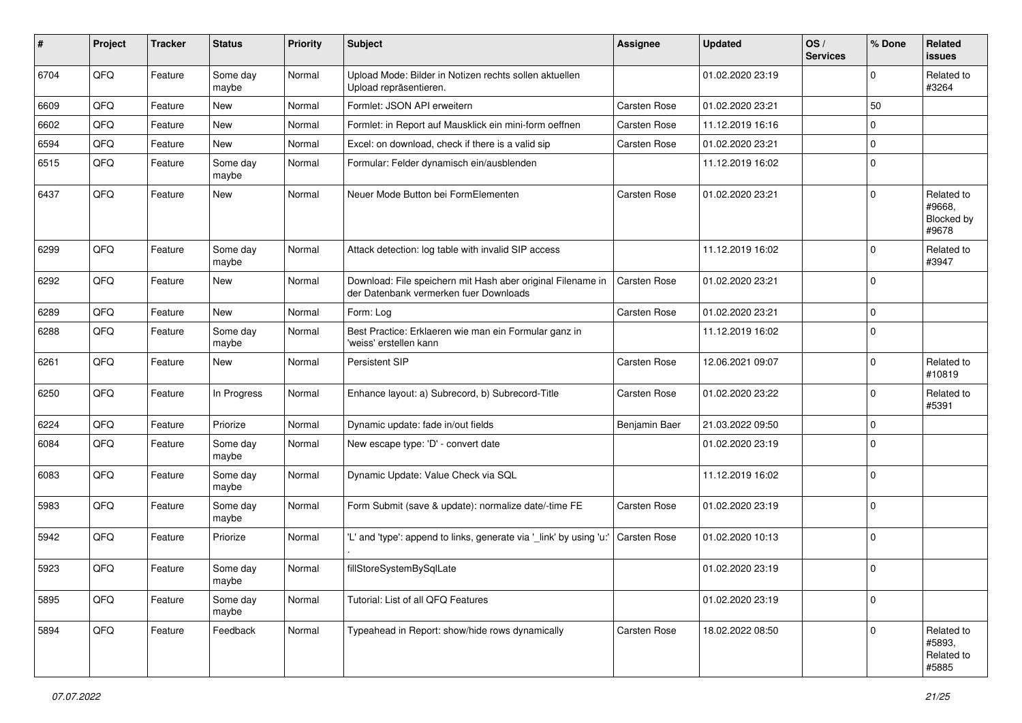| ∦    | Project | <b>Tracker</b> | <b>Status</b>     | <b>Priority</b> | <b>Subject</b>                                                                                        | <b>Assignee</b>     | <b>Updated</b>   | OS/<br><b>Services</b> | % Done      | Related<br>issues                           |
|------|---------|----------------|-------------------|-----------------|-------------------------------------------------------------------------------------------------------|---------------------|------------------|------------------------|-------------|---------------------------------------------|
| 6704 | QFQ     | Feature        | Some day<br>maybe | Normal          | Upload Mode: Bilder in Notizen rechts sollen aktuellen<br>Upload repräsentieren.                      |                     | 01.02.2020 23:19 |                        | $\mathbf 0$ | Related to<br>#3264                         |
| 6609 | QFQ     | Feature        | <b>New</b>        | Normal          | Formlet: JSON API erweitern                                                                           | Carsten Rose        | 01.02.2020 23:21 |                        | 50          |                                             |
| 6602 | QFQ     | Feature        | <b>New</b>        | Normal          | Formlet: in Report auf Mausklick ein mini-form oeffnen                                                | <b>Carsten Rose</b> | 11.12.2019 16:16 |                        | $\mathbf 0$ |                                             |
| 6594 | QFQ     | Feature        | New               | Normal          | Excel: on download, check if there is a valid sip                                                     | Carsten Rose        | 01.02.2020 23:21 |                        | $\Omega$    |                                             |
| 6515 | QFQ     | Feature        | Some day<br>maybe | Normal          | Formular: Felder dynamisch ein/ausblenden                                                             |                     | 11.12.2019 16:02 |                        | $\mathbf 0$ |                                             |
| 6437 | QFQ     | Feature        | <b>New</b>        | Normal          | Neuer Mode Button bei FormElementen                                                                   | <b>Carsten Rose</b> | 01.02.2020 23:21 |                        | $\Omega$    | Related to<br>#9668,<br>Blocked by<br>#9678 |
| 6299 | QFQ     | Feature        | Some day<br>maybe | Normal          | Attack detection: log table with invalid SIP access                                                   |                     | 11.12.2019 16:02 |                        | $\mathbf 0$ | Related to<br>#3947                         |
| 6292 | QFQ     | Feature        | <b>New</b>        | Normal          | Download: File speichern mit Hash aber original Filename in<br>der Datenbank vermerken fuer Downloads | <b>Carsten Rose</b> | 01.02.2020 23:21 |                        | $\mathbf 0$ |                                             |
| 6289 | QFQ     | Feature        | <b>New</b>        | Normal          | Form: Log                                                                                             | <b>Carsten Rose</b> | 01.02.2020 23:21 |                        | $\mathbf 0$ |                                             |
| 6288 | QFQ     | Feature        | Some day<br>maybe | Normal          | Best Practice: Erklaeren wie man ein Formular ganz in<br>'weiss' erstellen kann                       |                     | 11.12.2019 16:02 |                        | $\mathbf 0$ |                                             |
| 6261 | QFQ     | Feature        | New               | Normal          | <b>Persistent SIP</b>                                                                                 | <b>Carsten Rose</b> | 12.06.2021 09:07 |                        | $\mathbf 0$ | Related to<br>#10819                        |
| 6250 | QFQ     | Feature        | In Progress       | Normal          | Enhance layout: a) Subrecord, b) Subrecord-Title                                                      | Carsten Rose        | 01.02.2020 23:22 |                        | $\mathbf 0$ | Related to<br>#5391                         |
| 6224 | QFQ     | Feature        | Priorize          | Normal          | Dynamic update: fade in/out fields                                                                    | Benjamin Baer       | 21.03.2022 09:50 |                        | $\mathbf 0$ |                                             |
| 6084 | QFQ     | Feature        | Some day<br>maybe | Normal          | New escape type: 'D' - convert date                                                                   |                     | 01.02.2020 23:19 |                        | $\mathbf 0$ |                                             |
| 6083 | QFQ     | Feature        | Some day<br>maybe | Normal          | Dynamic Update: Value Check via SQL                                                                   |                     | 11.12.2019 16:02 |                        | $\mathbf 0$ |                                             |
| 5983 | QFQ     | Feature        | Some day<br>maybe | Normal          | Form Submit (save & update): normalize date/-time FE                                                  | Carsten Rose        | 01.02.2020 23:19 |                        | $\mathbf 0$ |                                             |
| 5942 | QFQ     | Feature        | Priorize          | Normal          | 'L' and 'type': append to links, generate via '_link' by using 'u:'                                   | Carsten Rose        | 01.02.2020 10:13 |                        | $\mathbf 0$ |                                             |
| 5923 | QFQ     | Feature        | Some day<br>maybe | Normal          | fillStoreSystemBySqlLate                                                                              |                     | 01.02.2020 23:19 |                        | $\mathbf 0$ |                                             |
| 5895 | QFQ     | Feature        | Some day<br>maybe | Normal          | Tutorial: List of all QFQ Features                                                                    |                     | 01.02.2020 23:19 |                        | $\mathbf 0$ |                                             |
| 5894 | QFQ     | Feature        | Feedback          | Normal          | Typeahead in Report: show/hide rows dynamically                                                       | Carsten Rose        | 18.02.2022 08:50 |                        | $\Omega$    | Related to<br>#5893,<br>Related to<br>#5885 |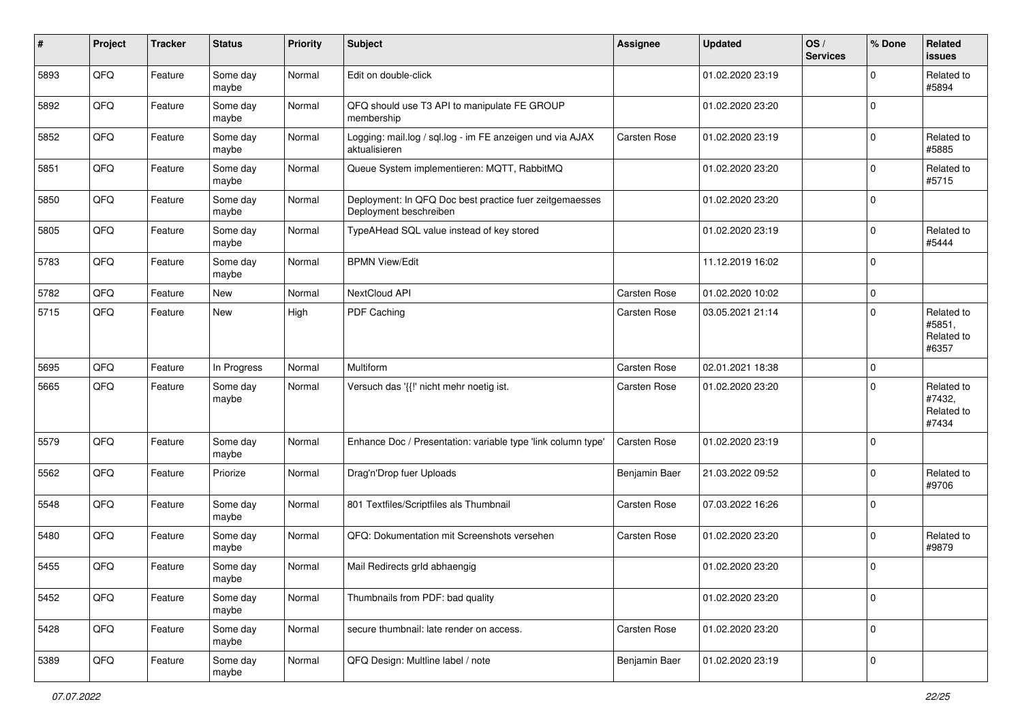| #    | Project | <b>Tracker</b> | <b>Status</b>     | <b>Priority</b> | <b>Subject</b>                                                                    | <b>Assignee</b>     | <b>Updated</b>   | OS/<br><b>Services</b> | % Done      | Related<br><b>issues</b>                    |
|------|---------|----------------|-------------------|-----------------|-----------------------------------------------------------------------------------|---------------------|------------------|------------------------|-------------|---------------------------------------------|
| 5893 | QFQ     | Feature        | Some day<br>maybe | Normal          | Edit on double-click                                                              |                     | 01.02.2020 23:19 |                        | $\Omega$    | Related to<br>#5894                         |
| 5892 | QFQ     | Feature        | Some day<br>maybe | Normal          | QFQ should use T3 API to manipulate FE GROUP<br>membership                        |                     | 01.02.2020 23:20 |                        | $\mathbf 0$ |                                             |
| 5852 | QFQ     | Feature        | Some day<br>maybe | Normal          | Logging: mail.log / sql.log - im FE anzeigen und via AJAX<br>aktualisieren        | <b>Carsten Rose</b> | 01.02.2020 23:19 |                        | $\Omega$    | Related to<br>#5885                         |
| 5851 | QFQ     | Feature        | Some day<br>maybe | Normal          | Queue System implementieren: MQTT, RabbitMQ                                       |                     | 01.02.2020 23:20 |                        | $\mathbf 0$ | Related to<br>#5715                         |
| 5850 | QFQ     | Feature        | Some day<br>maybe | Normal          | Deployment: In QFQ Doc best practice fuer zeitgemaesses<br>Deployment beschreiben |                     | 01.02.2020 23:20 |                        | $\mathbf 0$ |                                             |
| 5805 | QFQ     | Feature        | Some day<br>maybe | Normal          | TypeAHead SQL value instead of key stored                                         |                     | 01.02.2020 23:19 |                        | $\mathbf 0$ | Related to<br>#5444                         |
| 5783 | QFQ     | Feature        | Some day<br>maybe | Normal          | <b>BPMN View/Edit</b>                                                             |                     | 11.12.2019 16:02 |                        | $\Omega$    |                                             |
| 5782 | QFQ     | Feature        | New               | Normal          | NextCloud API                                                                     | Carsten Rose        | 01.02.2020 10:02 |                        | $\mathbf 0$ |                                             |
| 5715 | QFQ     | Feature        | New               | High            | PDF Caching                                                                       | Carsten Rose        | 03.05.2021 21:14 |                        | $\Omega$    | Related to<br>#5851,<br>Related to<br>#6357 |
| 5695 | QFQ     | Feature        | In Progress       | Normal          | Multiform                                                                         | Carsten Rose        | 02.01.2021 18:38 |                        | $\mathbf 0$ |                                             |
| 5665 | QFQ     | Feature        | Some day<br>maybe | Normal          | Versuch das '{{!' nicht mehr noetig ist.                                          | Carsten Rose        | 01.02.2020 23:20 |                        | $\Omega$    | Related to<br>#7432,<br>Related to<br>#7434 |
| 5579 | QFQ     | Feature        | Some day<br>maybe | Normal          | Enhance Doc / Presentation: variable type 'link column type'                      | Carsten Rose        | 01.02.2020 23:19 |                        | $\mathbf 0$ |                                             |
| 5562 | QFQ     | Feature        | Priorize          | Normal          | Drag'n'Drop fuer Uploads                                                          | Benjamin Baer       | 21.03.2022 09:52 |                        | $\Omega$    | Related to<br>#9706                         |
| 5548 | QFQ     | Feature        | Some day<br>maybe | Normal          | 801 Textfiles/Scriptfiles als Thumbnail                                           | Carsten Rose        | 07.03.2022 16:26 |                        | $\Omega$    |                                             |
| 5480 | QFQ     | Feature        | Some day<br>maybe | Normal          | QFQ: Dokumentation mit Screenshots versehen                                       | Carsten Rose        | 01.02.2020 23:20 |                        | $\mathbf 0$ | Related to<br>#9879                         |
| 5455 | QFQ     | Feature        | Some day<br>maybe | Normal          | Mail Redirects grld abhaengig                                                     |                     | 01.02.2020 23:20 |                        | $\Omega$    |                                             |
| 5452 | QFQ     | Feature        | Some day<br>maybe | Normal          | Thumbnails from PDF: bad quality                                                  |                     | 01.02.2020 23:20 |                        | $\mathbf 0$ |                                             |
| 5428 | QFQ     | Feature        | Some day<br>maybe | Normal          | secure thumbnail: late render on access.                                          | Carsten Rose        | 01.02.2020 23:20 |                        | $\mathbf 0$ |                                             |
| 5389 | QFQ     | Feature        | Some day<br>maybe | Normal          | QFQ Design: Multline label / note                                                 | Benjamin Baer       | 01.02.2020 23:19 |                        | $\mathbf 0$ |                                             |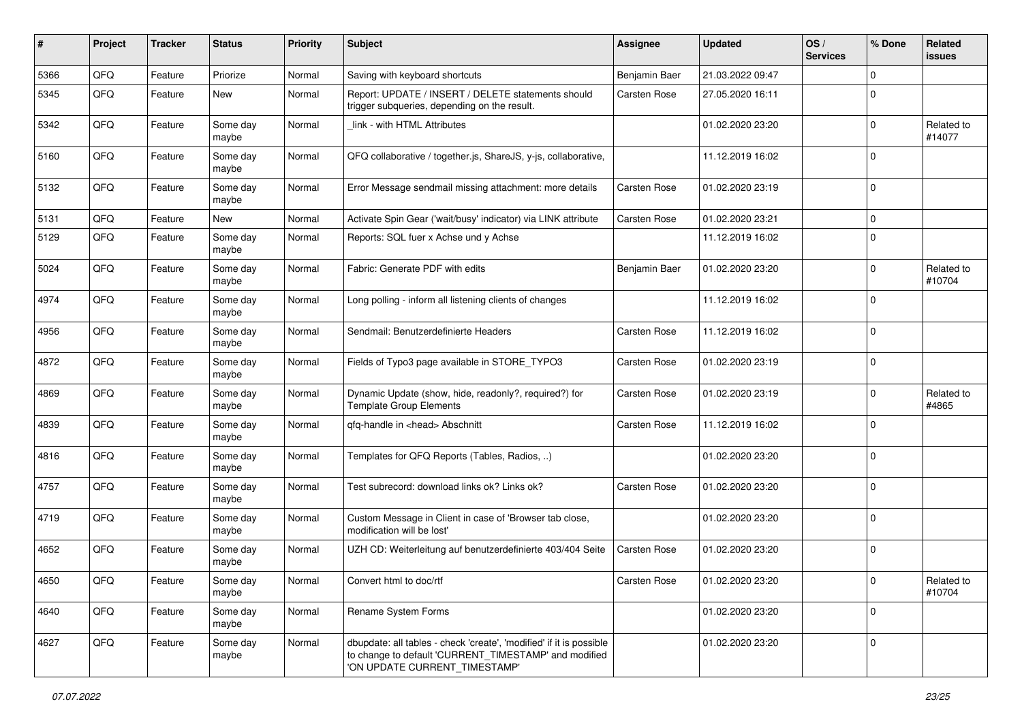| #    | Project | <b>Tracker</b> | <b>Status</b>     | <b>Priority</b> | <b>Subject</b>                                                                                                                                                | <b>Assignee</b>     | <b>Updated</b>   | OS/<br><b>Services</b> | % Done      | Related<br><b>issues</b> |
|------|---------|----------------|-------------------|-----------------|---------------------------------------------------------------------------------------------------------------------------------------------------------------|---------------------|------------------|------------------------|-------------|--------------------------|
| 5366 | QFQ     | Feature        | Priorize          | Normal          | Saving with keyboard shortcuts                                                                                                                                | Benjamin Baer       | 21.03.2022 09:47 |                        | $\Omega$    |                          |
| 5345 | QFQ     | Feature        | New               | Normal          | Report: UPDATE / INSERT / DELETE statements should<br>trigger subqueries, depending on the result.                                                            | <b>Carsten Rose</b> | 27.05.2020 16:11 |                        | $\Omega$    |                          |
| 5342 | QFQ     | Feature        | Some day<br>maybe | Normal          | link - with HTML Attributes                                                                                                                                   |                     | 01.02.2020 23:20 |                        | $\mathbf 0$ | Related to<br>#14077     |
| 5160 | QFQ     | Feature        | Some day<br>maybe | Normal          | QFQ collaborative / together.js, ShareJS, y-js, collaborative,                                                                                                |                     | 11.12.2019 16:02 |                        | $\Omega$    |                          |
| 5132 | QFQ     | Feature        | Some day<br>maybe | Normal          | Error Message sendmail missing attachment: more details                                                                                                       | <b>Carsten Rose</b> | 01.02.2020 23:19 |                        | $\Omega$    |                          |
| 5131 | QFQ     | Feature        | New               | Normal          | Activate Spin Gear ('wait/busy' indicator) via LINK attribute                                                                                                 | <b>Carsten Rose</b> | 01.02.2020 23:21 |                        | $\Omega$    |                          |
| 5129 | QFQ     | Feature        | Some day<br>maybe | Normal          | Reports: SQL fuer x Achse und y Achse                                                                                                                         |                     | 11.12.2019 16:02 |                        | $\mathbf 0$ |                          |
| 5024 | QFQ     | Feature        | Some day<br>maybe | Normal          | Fabric: Generate PDF with edits                                                                                                                               | Benjamin Baer       | 01.02.2020 23:20 |                        | $\mathbf 0$ | Related to<br>#10704     |
| 4974 | QFQ     | Feature        | Some day<br>maybe | Normal          | Long polling - inform all listening clients of changes                                                                                                        |                     | 11.12.2019 16:02 |                        | $\Omega$    |                          |
| 4956 | QFQ     | Feature        | Some day<br>maybe | Normal          | Sendmail: Benutzerdefinierte Headers                                                                                                                          | <b>Carsten Rose</b> | 11.12.2019 16:02 |                        | $\Omega$    |                          |
| 4872 | QFQ     | Feature        | Some day<br>maybe | Normal          | Fields of Typo3 page available in STORE_TYPO3                                                                                                                 | <b>Carsten Rose</b> | 01.02.2020 23:19 |                        | $\Omega$    |                          |
| 4869 | QFQ     | Feature        | Some day<br>maybe | Normal          | Dynamic Update (show, hide, readonly?, required?) for<br><b>Template Group Elements</b>                                                                       | Carsten Rose        | 01.02.2020 23:19 |                        | $\Omega$    | Related to<br>#4865      |
| 4839 | QFQ     | Feature        | Some day<br>maybe | Normal          | qfq-handle in <head> Abschnitt</head>                                                                                                                         | Carsten Rose        | 11.12.2019 16:02 |                        | $\Omega$    |                          |
| 4816 | QFQ     | Feature        | Some day<br>maybe | Normal          | Templates for QFQ Reports (Tables, Radios, )                                                                                                                  |                     | 01.02.2020 23:20 |                        | $\mathbf 0$ |                          |
| 4757 | QFQ     | Feature        | Some day<br>maybe | Normal          | Test subrecord: download links ok? Links ok?                                                                                                                  | <b>Carsten Rose</b> | 01.02.2020 23:20 |                        | $\Omega$    |                          |
| 4719 | QFQ     | Feature        | Some day<br>maybe | Normal          | Custom Message in Client in case of 'Browser tab close,<br>modification will be lost'                                                                         |                     | 01.02.2020 23:20 |                        | $\mathbf 0$ |                          |
| 4652 | QFQ     | Feature        | Some day<br>maybe | Normal          | UZH CD: Weiterleitung auf benutzerdefinierte 403/404 Seite                                                                                                    | <b>Carsten Rose</b> | 01.02.2020 23:20 |                        | $\mathbf 0$ |                          |
| 4650 | QFQ     | Feature        | Some day<br>maybe | Normal          | Convert html to doc/rtf                                                                                                                                       | Carsten Rose        | 01.02.2020 23:20 |                        | 0           | Related to<br>#10704     |
| 4640 | QFQ     | Feature        | Some day<br>maybe | Normal          | Rename System Forms                                                                                                                                           |                     | 01.02.2020 23:20 |                        | $\mathbf 0$ |                          |
| 4627 | QFQ     | Feature        | Some day<br>maybe | Normal          | dbupdate: all tables - check 'create', 'modified' if it is possible<br>to change to default 'CURRENT_TIMESTAMP' and modified<br>'ON UPDATE CURRENT_TIMESTAMP' |                     | 01.02.2020 23:20 |                        | $\mathbf 0$ |                          |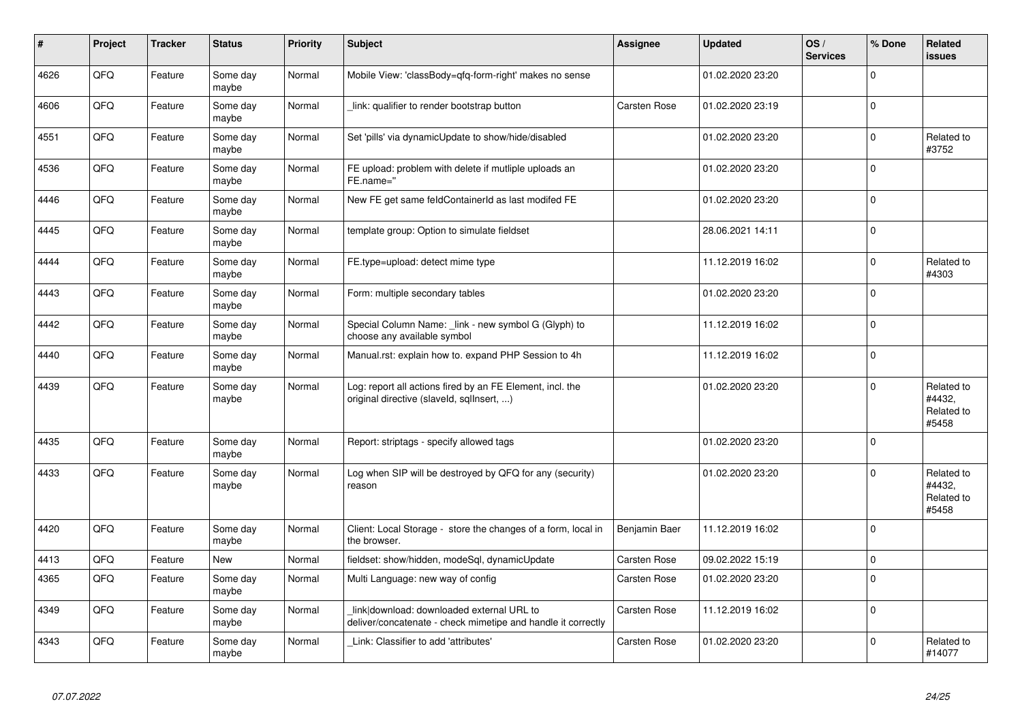| #    | Project | <b>Tracker</b> | <b>Status</b>     | <b>Priority</b> | <b>Subject</b>                                                                                            | <b>Assignee</b>     | <b>Updated</b>   | OS/<br><b>Services</b> | % Done      | <b>Related</b><br><b>issues</b>             |
|------|---------|----------------|-------------------|-----------------|-----------------------------------------------------------------------------------------------------------|---------------------|------------------|------------------------|-------------|---------------------------------------------|
| 4626 | QFQ     | Feature        | Some day<br>maybe | Normal          | Mobile View: 'classBody=qfq-form-right' makes no sense                                                    |                     | 01.02.2020 23:20 |                        | $\Omega$    |                                             |
| 4606 | QFQ     | Feature        | Some day<br>maybe | Normal          | link: qualifier to render bootstrap button                                                                | <b>Carsten Rose</b> | 01.02.2020 23:19 |                        | $\mathbf 0$ |                                             |
| 4551 | QFQ     | Feature        | Some day<br>maybe | Normal          | Set 'pills' via dynamicUpdate to show/hide/disabled                                                       |                     | 01.02.2020 23:20 |                        | $\mathbf 0$ | Related to<br>#3752                         |
| 4536 | QFQ     | Feature        | Some day<br>maybe | Normal          | FE upload: problem with delete if mutliple uploads an<br>FE.name="                                        |                     | 01.02.2020 23:20 |                        | $\mathbf 0$ |                                             |
| 4446 | QFQ     | Feature        | Some day<br>maybe | Normal          | New FE get same feldContainerId as last modifed FE                                                        |                     | 01.02.2020 23:20 |                        | $\Omega$    |                                             |
| 4445 | QFQ     | Feature        | Some day<br>maybe | Normal          | template group: Option to simulate fieldset                                                               |                     | 28.06.2021 14:11 |                        | $\mathbf 0$ |                                             |
| 4444 | QFQ     | Feature        | Some day<br>maybe | Normal          | FE.type=upload: detect mime type                                                                          |                     | 11.12.2019 16:02 |                        | $\Omega$    | Related to<br>#4303                         |
| 4443 | QFQ     | Feature        | Some day<br>maybe | Normal          | Form: multiple secondary tables                                                                           |                     | 01.02.2020 23:20 |                        | $\mathbf 0$ |                                             |
| 4442 | QFQ     | Feature        | Some day<br>maybe | Normal          | Special Column Name: link - new symbol G (Glyph) to<br>choose any available symbol                        |                     | 11.12.2019 16:02 |                        | $\mathbf 0$ |                                             |
| 4440 | QFQ     | Feature        | Some day<br>maybe | Normal          | Manual.rst: explain how to. expand PHP Session to 4h                                                      |                     | 11.12.2019 16:02 |                        | $\mathbf 0$ |                                             |
| 4439 | QFQ     | Feature        | Some day<br>maybe | Normal          | Log: report all actions fired by an FE Element, incl. the<br>original directive (slaveld, sqllnsert, )    |                     | 01.02.2020 23:20 |                        | $\Omega$    | Related to<br>#4432,<br>Related to<br>#5458 |
| 4435 | QFQ     | Feature        | Some day<br>maybe | Normal          | Report: striptags - specify allowed tags                                                                  |                     | 01.02.2020 23:20 |                        | $\mathbf 0$ |                                             |
| 4433 | QFQ     | Feature        | Some day<br>maybe | Normal          | Log when SIP will be destroyed by QFQ for any (security)<br>reason                                        |                     | 01.02.2020 23:20 |                        | $\mathbf 0$ | Related to<br>#4432,<br>Related to<br>#5458 |
| 4420 | QFQ     | Feature        | Some day<br>maybe | Normal          | Client: Local Storage - store the changes of a form, local in<br>the browser.                             | Benjamin Baer       | 11.12.2019 16:02 |                        | $\Omega$    |                                             |
| 4413 | QFQ     | Feature        | <b>New</b>        | Normal          | fieldset: show/hidden, modeSql, dynamicUpdate                                                             | <b>Carsten Rose</b> | 09.02.2022 15:19 |                        | $\mathbf 0$ |                                             |
| 4365 | QFQ     | Feature        | Some day<br>maybe | Normal          | Multi Language: new way of config                                                                         | Carsten Rose        | 01.02.2020 23:20 |                        | $\mathbf 0$ |                                             |
| 4349 | QFQ     | Feature        | Some day<br>maybe | Normal          | link download: downloaded external URL to<br>deliver/concatenate - check mimetipe and handle it correctly | <b>Carsten Rose</b> | 11.12.2019 16:02 |                        | $\mathbf 0$ |                                             |
| 4343 | QFQ     | Feature        | Some day<br>maybe | Normal          | Link: Classifier to add 'attributes'                                                                      | <b>Carsten Rose</b> | 01.02.2020 23:20 |                        | $\mathbf 0$ | Related to<br>#14077                        |